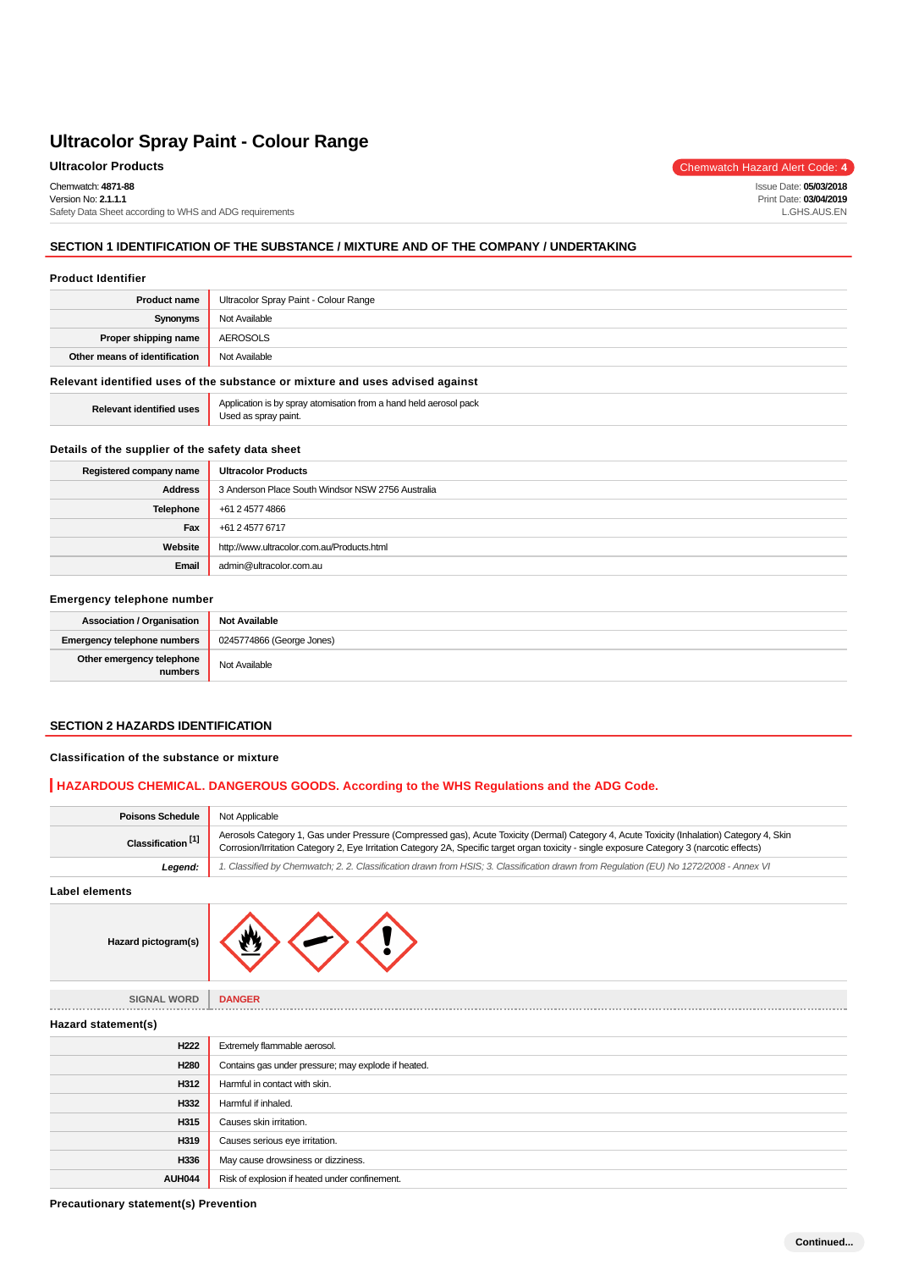Chemwatch: **4871-88**

Version No: **2.1.1.1** Safety Data Sheet according to WHS and ADG requirements

# **SECTION 1 IDENTIFICATION OF THE SUBSTANCE / MIXTURE AND OF THE COMPANY / UNDERTAKING**

#### **Product Identifier**

| <b>Product name</b>           | Ultracolor Spray Paint - Colour Range |
|-------------------------------|---------------------------------------|
| Synonyms                      | Not Available                         |
| Proper shipping name          | AEROSOLS                              |
| Other means of identification | Not Available                         |
|                               |                                       |

#### **Relevant identified uses of the substance or mixture and uses advised against**

| <b>Relevant identified uses</b> | Application is by spray atomisation from a hand held aerosol pack<br>Used as spray paint. |
|---------------------------------|-------------------------------------------------------------------------------------------|
|---------------------------------|-------------------------------------------------------------------------------------------|

#### **Details of the supplier of the safety data sheet**

| Registered company name | <b>Ultracolor Products</b>                        |
|-------------------------|---------------------------------------------------|
| <b>Address</b>          | 3 Anderson Place South Windsor NSW 2756 Australia |
| Telephone               | +61 2 4577 4866                                   |
| Fax                     | +61 2 4577 6717                                   |
| Website                 | http://www.ultracolor.com.au/Products.html        |
| Email                   | admin@ultracolor.com.au                           |

#### **Emergency telephone number**

| <b>Association / Organisation</b>    | <b>Not Available</b>      |
|--------------------------------------|---------------------------|
| <b>Emergency telephone numbers</b>   | 0245774866 (George Jones) |
| Other emergency telephone<br>numbers | Not Available             |

## **SECTION 2 HAZARDS IDENTIFICATION**

#### **Classification of the substance or mixture**

# **HAZARDOUS CHEMICAL. DANGEROUS GOODS. According to the WHS Regulations and the ADG Code.**

| <b>Poisons Schedule</b>       | Not Applicable                                                                                                                                                                                                                                                                            |
|-------------------------------|-------------------------------------------------------------------------------------------------------------------------------------------------------------------------------------------------------------------------------------------------------------------------------------------|
| Classification <sup>[1]</sup> | Aerosols Category 1, Gas under Pressure (Compressed gas), Acute Toxicity (Dermal) Category 4, Acute Toxicity (Inhalation) Category 4, Skin<br>Corrosion/Irritation Category 2, Eye Irritation Category 2A, Specific target organ toxicity - single exposure Category 3 (narcotic effects) |
| Legend:                       | . Classified by Chemwatch; 2. 2. Classification drawn from HSIS; 3. Classification drawn from Requlation (EU) No 1272/2008 - Annex VI                                                                                                                                                     |
|                               |                                                                                                                                                                                                                                                                                           |

**Label elements**



| <b>SIGNAL WORD</b>  | <b>DANGER</b>                                       |
|---------------------|-----------------------------------------------------|
| Hazard statement(s) |                                                     |
| H222                | Extremely flammable aerosol.                        |
| H <sub>280</sub>    | Contains gas under pressure; may explode if heated. |
| H312                | Harmful in contact with skin.                       |
| H332                | Harmful if inhaled.                                 |
| H315                | Causes skin irritation.                             |
| H319                | Causes serious eye irritation.                      |
| H336                | May cause drowsiness or dizziness.                  |
| AUH044              | Risk of explosion if heated under confinement.      |

**Precautionary statement(s) Prevention**

**Ultracolor Products** Chemwatch Hazard Alert Code: 4

Issue Date: **05/03/2018** Print Date: **03/04/2019** L.GHS.AUS.EN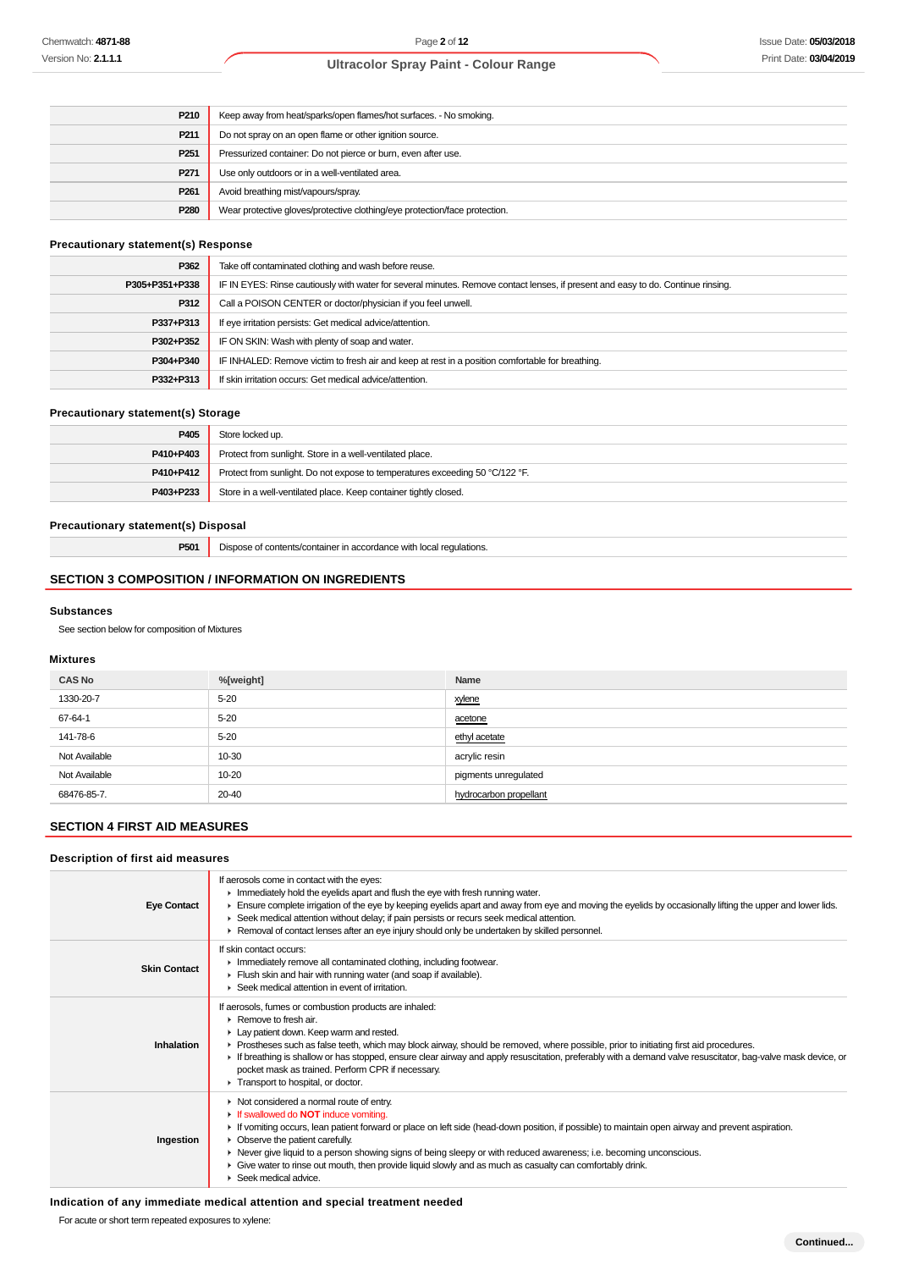| P <sub>210</sub> | Keep away from heat/sparks/open flames/hot surfaces. - No smoking.         |
|------------------|----------------------------------------------------------------------------|
| P211             | Do not spray on an open flame or other ignition source.                    |
| P <sub>251</sub> | Pressurized container: Do not pierce or burn, even after use.              |
| P <sub>271</sub> | Use only outdoors or in a well-ventilated area.                            |
| P <sub>261</sub> | Avoid breathing mist/vapours/spray.                                        |
| P <sub>280</sub> | Wear protective gloves/protective clothing/eye protection/face protection. |

## **Precautionary statement(s) Response**

| P362           | Take off contaminated clothing and wash before reuse.                                                                            |
|----------------|----------------------------------------------------------------------------------------------------------------------------------|
| P305+P351+P338 | IF IN EYES: Rinse cautiously with water for several minutes. Remove contact lenses, if present and easy to do. Continue rinsing. |
| P312           | Call a POISON CENTER or doctor/physician if you feel unwell.                                                                     |
| P337+P313      | If eye irritation persists: Get medical advice/attention.                                                                        |
| P302+P352      | IF ON SKIN: Wash with plenty of soap and water.                                                                                  |
| P304+P340      | IF INHALED: Remove victim to fresh air and keep at rest in a position comfortable for breathing.                                 |
| P332+P313      | If skin irritation occurs: Get medical advice/attention.                                                                         |

#### **Precautionary statement(s) Storage**

| P405      | Store locked up.                                                             |
|-----------|------------------------------------------------------------------------------|
| P410+P403 | Protect from sunlight. Store in a well-ventilated place.                     |
| P410+P412 | Protect from sunlight. Do not expose to temperatures exceeding 50 °C/122 °F. |
| P403+P233 | Store in a well-ventilated place. Keep container tightly closed.             |

#### **Precautionary statement(s) Disposal**

**P501** Dispose of contents/container in accordance with local regulations.

# **SECTION 3 COMPOSITION / INFORMATION ON INGREDIENTS**

#### **Substances**

See section below for composition of Mixtures

#### **Mixtures**

| <b>CAS No</b> | %[weight] | Name                   |
|---------------|-----------|------------------------|
| 1330-20-7     | $5 - 20$  | xylene                 |
| 67-64-1       | $5 - 20$  | acetone                |
| 141-78-6      | $5 - 20$  | ethyl acetate          |
| Not Available | 10-30     | acrylic resin          |
| Not Available | 10-20     | pigments unregulated   |
| 68476-85-7.   | 20-40     | hydrocarbon propellant |

# **SECTION 4 FIRST AID MEASURES**

#### **Description of first aid measures**

| <b>Eye Contact</b>  | If aerosols come in contact with the eyes:<br>In mediately hold the eyelids apart and flush the eye with fresh running water.<br>Ensure complete irrigation of the eye by keeping eyelids apart and away from eye and moving the eyelids by occasionally lifting the upper and lower lids.<br>► Seek medical attention without delay; if pain persists or recurs seek medical attention.<br>► Removal of contact lenses after an eye injury should only be undertaken by skilled personnel.                                                        |
|---------------------|----------------------------------------------------------------------------------------------------------------------------------------------------------------------------------------------------------------------------------------------------------------------------------------------------------------------------------------------------------------------------------------------------------------------------------------------------------------------------------------------------------------------------------------------------|
| <b>Skin Contact</b> | If skin contact occurs:<br>Inmediately remove all contaminated clothing, including footwear.<br>Flush skin and hair with running water (and soap if available).<br>$\blacktriangleright$ Seek medical attention in event of irritation.                                                                                                                                                                                                                                                                                                            |
| Inhalation          | If aerosols, fumes or combustion products are inhaled:<br>$\blacktriangleright$ Remove to fresh air.<br>Lay patient down. Keep warm and rested.<br>► Prostheses such as false teeth, which may block airway, should be removed, where possible, prior to initiating first aid procedures.<br>If breathing is shallow or has stopped, ensure clear airway and apply resuscitation, preferably with a demand valve resuscitator, bag-valve mask device, or<br>pocket mask as trained. Perform CPR if necessary.<br>Transport to hospital, or doctor. |
| Ingestion           | Not considered a normal route of entry.<br>If swallowed do <b>NOT</b> induce vomiting.<br>If vomiting occurs, lean patient forward or place on left side (head-down position, if possible) to maintain open airway and prevent aspiration.<br>• Observe the patient carefully.<br>► Never give liquid to a person showing signs of being sleepy or with reduced awareness; i.e. becoming unconscious.<br>► Give water to rinse out mouth, then provide liquid slowly and as much as casualty can comfortably drink.<br>Seek medical advice.        |

#### **Indication of any immediate medical attention and special treatment needed**

For acute or short term repeated exposures to xylene: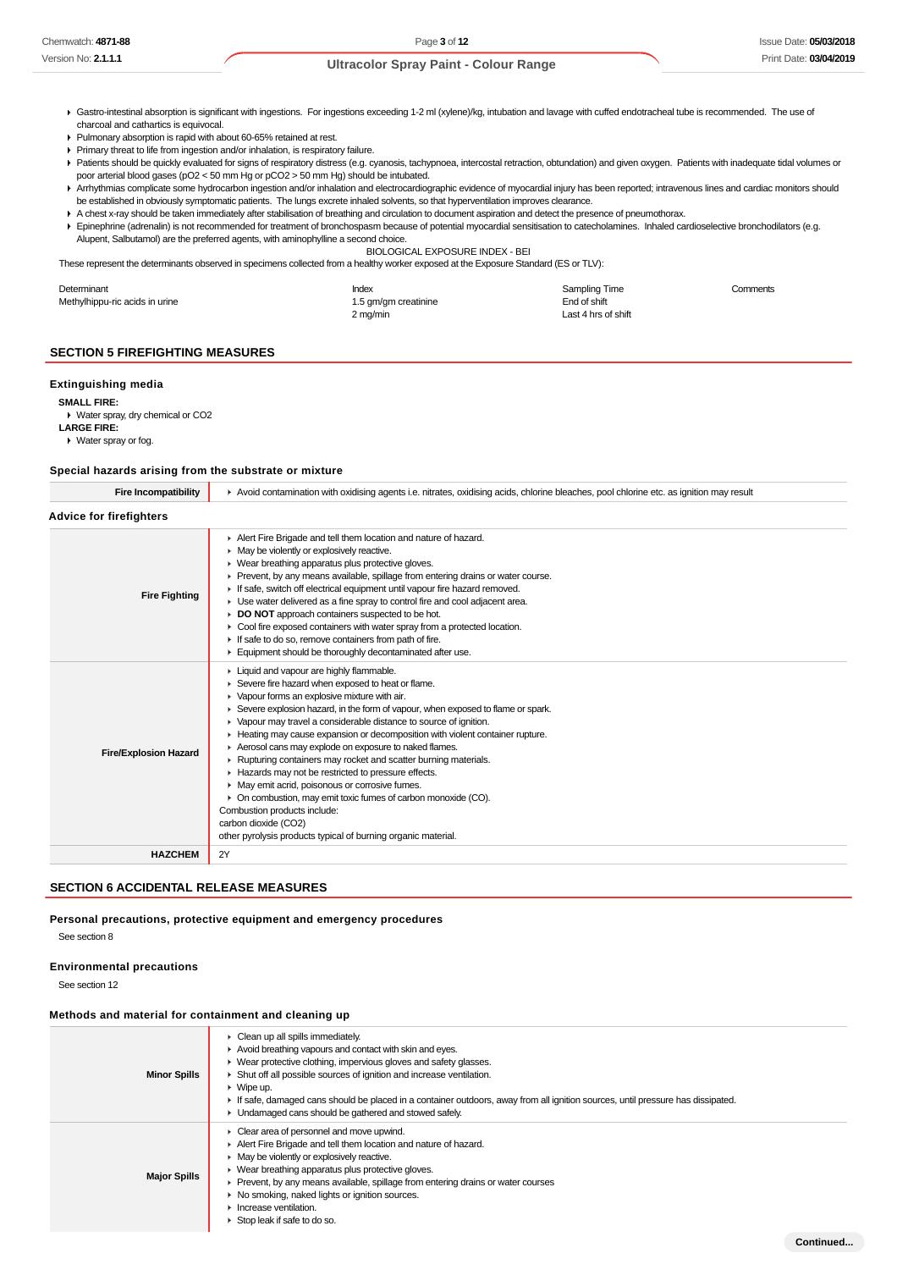**Continued...**

#### **Ultracolor Spray Paint - Colour Range**

- Gastro-intestinal absorption is significant with ingestions. For ingestions exceeding 1-2 ml (xylene)/kg, intubation and lavage with cuffed endotracheal tube is recommended. The use of charcoal and cathartics is equivocal.
- Pulmonary absorption is rapid with about 60-65% retained at rest.
- Primary threat to life from ingestion and/or inhalation, is respiratory failure. Patients should be quickly evaluated for signs of respiratory distress (e.g. cyanosis, tachypnoea, intercostal retraction, obtundation) and given oxygen. Patients with inadequate tidal volumes or
- poor arterial blood gases (pO2 < 50 mm Hg or pCO2 > 50 mm Hg) should be intubated. Arrhythmias complicate some hydrocarbon ingestion and/or inhalation and electrocardiographic evidence of myocardial injury has been reported; intravenous lines and cardiac monitors should
- be established in obviously symptomatic patients. The lungs excrete inhaled solvents, so that hyperventilation improves clearance.
- A chest x-ray should be taken immediately after stabilisation of breathing and circulation to document aspiration and detect the presence of pneumothorax.
- Epinephrine (adrenalin) is not recommended for treatment of bronchospasm because of potential myocardial sensitisation to catecholamines. Inhaled cardioselective bronchodilators (e.g. Alupent, Salbutamol) are the preferred agents, with aminophylline a second choice.

BIOLOGICAL EXPOSURE INDEX - BEI

These represent the determinants observed in specimens collected from a healthy worker exposed at the Exposure Standard (ES or TLV):

| Determinant                    | Index                | <b>Sampling Time</b> | Comments |
|--------------------------------|----------------------|----------------------|----------|
| Methylhippu-ric acids in urine | 1.5 gm/gm creatinine | End of shift         |          |
|                                | 2 mg/min             | Last 4 hrs of shift  |          |

#### **SECTION 5 FIREFIGHTING MEASURES**

#### **Extinguishing media**

**SMALL FIRE:**

Water spray, dry chemical or CO2 **LARGE FIRE:** Water spray or fog.

#### **Special hazards arising from the substrate or mixture**

| <b>Fire Incompatibility</b>    | Avoid contamination with oxidising agents i.e. nitrates, oxidising acids, chlorine bleaches, pool chlorine etc. as ignition may result                                                                                                                                                                                                                                                                                                                                                                                                                                                                                                                                                                                                                                                                                      |  |  |  |
|--------------------------------|-----------------------------------------------------------------------------------------------------------------------------------------------------------------------------------------------------------------------------------------------------------------------------------------------------------------------------------------------------------------------------------------------------------------------------------------------------------------------------------------------------------------------------------------------------------------------------------------------------------------------------------------------------------------------------------------------------------------------------------------------------------------------------------------------------------------------------|--|--|--|
| <b>Advice for firefighters</b> |                                                                                                                                                                                                                                                                                                                                                                                                                                                                                                                                                                                                                                                                                                                                                                                                                             |  |  |  |
| <b>Fire Fighting</b>           | Alert Fire Brigade and tell them location and nature of hazard.<br>• May be violently or explosively reactive.<br>• Wear breathing apparatus plus protective gloves.<br>Prevent, by any means available, spillage from entering drains or water course.<br>If safe, switch off electrical equipment until vapour fire hazard removed.<br>• Use water delivered as a fine spray to control fire and cool adjacent area.<br>DO NOT approach containers suspected to be hot.<br>Cool fire exposed containers with water spray from a protected location.<br>If safe to do so, remove containers from path of fire.<br>Equipment should be thoroughly decontaminated after use.                                                                                                                                                 |  |  |  |
| <b>Fire/Explosion Hazard</b>   | Liquid and vapour are highly flammable.<br>▶ Severe fire hazard when exposed to heat or flame.<br>• Vapour forms an explosive mixture with air.<br>► Severe explosion hazard, in the form of vapour, when exposed to flame or spark.<br>▶ Vapour may travel a considerable distance to source of ignition.<br>Heating may cause expansion or decomposition with violent container rupture.<br>Aerosol cans may explode on exposure to naked flames.<br>▶ Rupturing containers may rocket and scatter burning materials.<br>Hazards may not be restricted to pressure effects.<br>• May emit acrid, poisonous or corrosive fumes.<br>• On combustion, may emit toxic fumes of carbon monoxide (CO).<br>Combustion products include:<br>carbon dioxide (CO2)<br>other pyrolysis products typical of burning organic material. |  |  |  |
| <b>HAZCHEM</b>                 | 2Y                                                                                                                                                                                                                                                                                                                                                                                                                                                                                                                                                                                                                                                                                                                                                                                                                          |  |  |  |
|                                |                                                                                                                                                                                                                                                                                                                                                                                                                                                                                                                                                                                                                                                                                                                                                                                                                             |  |  |  |

# **SECTION 6 ACCIDENTAL RELEASE MEASURES**

#### **Personal precautions, protective equipment and emergency procedures**

See section 8

#### **Environmental precautions**

See section 12

#### **Methods and material for containment and cleaning up**

| <b>Minor Spills</b> | • Clean up all spills immediately.<br>Avoid breathing vapours and contact with skin and eyes.<br>• Wear protective clothing, impervious gloves and safety glasses.<br>Shut off all possible sources of ignition and increase ventilation.<br>$\triangleright$ Wipe up.<br>If safe, damaged cans should be placed in a container outdoors, away from all ignition sources, until pressure has dissipated.<br>• Undamaged cans should be gathered and stowed safely.     |
|---------------------|------------------------------------------------------------------------------------------------------------------------------------------------------------------------------------------------------------------------------------------------------------------------------------------------------------------------------------------------------------------------------------------------------------------------------------------------------------------------|
| <b>Major Spills</b> | $\triangleright$ Clear area of personnel and move upwind.<br>Alert Fire Brigade and tell them location and nature of hazard.<br>$\triangleright$ May be violently or explosively reactive.<br>• Wear breathing apparatus plus protective gloves.<br>▶ Prevent, by any means available, spillage from entering drains or water courses<br>• No smoking, naked lights or ignition sources.<br>$\blacktriangleright$ Increase ventilation.<br>Stop leak if safe to do so. |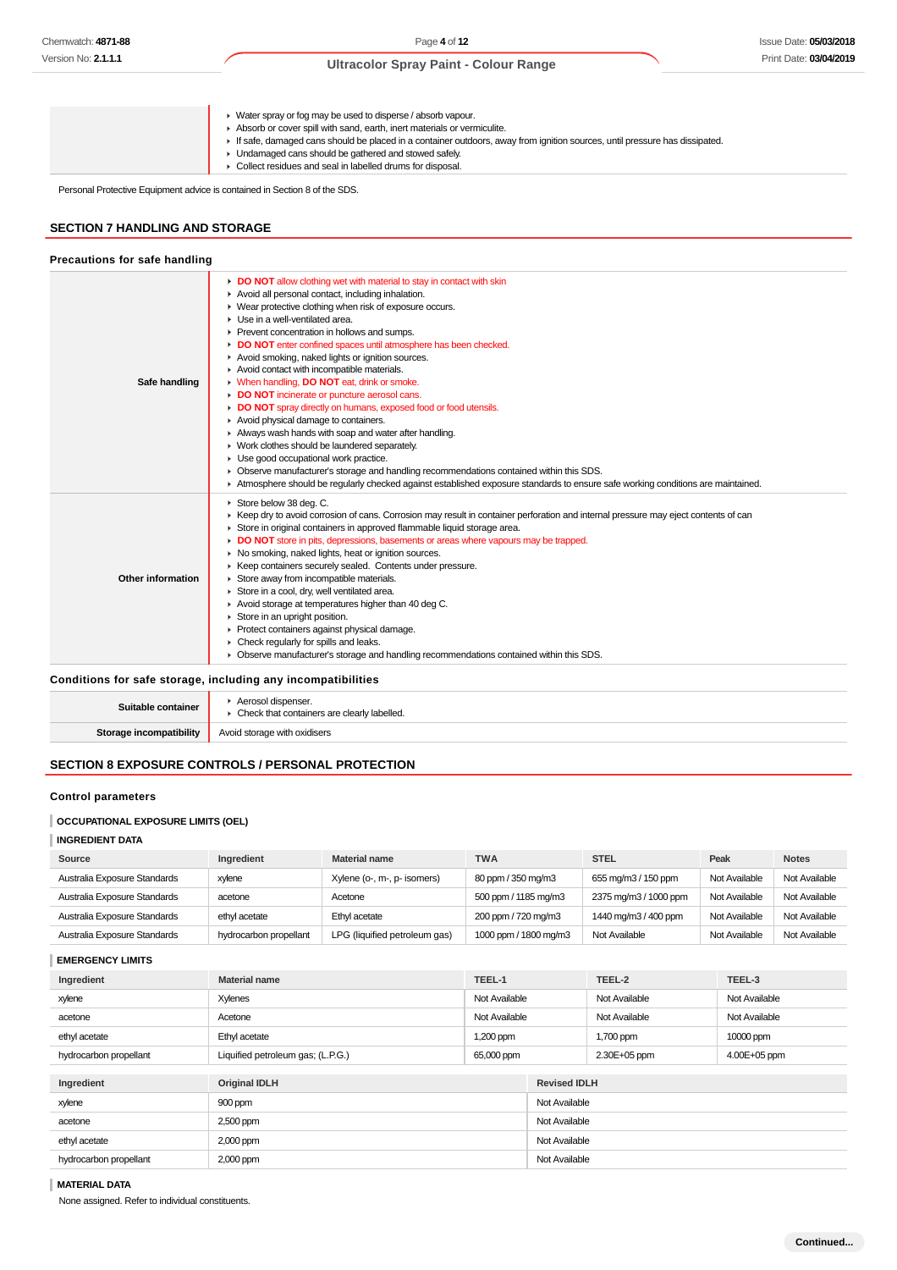#### Issue Date: **05/03/2018** Print Date: **03/04/2019**

# **Ultracolor Spray Paint - Colour Range**

▶ Water spray or fog may be used to disperse / absorb vapour. Absorb or cover spill with sand, earth, inert materials or vermiculite. If safe, damaged cans should be placed in a container outdoors, away from ignition sources, until pressure has dissipated. **I** Undamaged cans should be gathered and stowed safely. Collect residues and seal in labelled drums for disposal.

Personal Protective Equipment advice is contained in Section 8 of the SDS.

# **SECTION 7 HANDLING AND STORAGE**

| Precautions for safe handling |                                                                                                                                                                                                                                                                                                                                                                                                                                                                                                                                                                                                                                                                                                                                                                                                                                                                                                                                                                                                                                         |
|-------------------------------|-----------------------------------------------------------------------------------------------------------------------------------------------------------------------------------------------------------------------------------------------------------------------------------------------------------------------------------------------------------------------------------------------------------------------------------------------------------------------------------------------------------------------------------------------------------------------------------------------------------------------------------------------------------------------------------------------------------------------------------------------------------------------------------------------------------------------------------------------------------------------------------------------------------------------------------------------------------------------------------------------------------------------------------------|
| Safe handling                 | DO NOT allow clothing wet with material to stay in contact with skin<br>Avoid all personal contact, including inhalation.<br>▶ Wear protective clothing when risk of exposure occurs.<br>Use in a well-ventilated area.<br>Prevent concentration in hollows and sumps.<br>DO NOT enter confined spaces until atmosphere has been checked.<br>Avoid smoking, naked lights or ignition sources.<br>Avoid contact with incompatible materials.<br>• When handling, DO NOT eat, drink or smoke.<br>DO NOT incinerate or puncture aerosol cans.<br>DO NOT spray directly on humans, exposed food or food utensils.<br>Avoid physical damage to containers.<br>Always wash hands with soap and water after handling.<br>• Work clothes should be laundered separately.<br>Use good occupational work practice.<br>• Observe manufacturer's storage and handling recommendations contained within this SDS.<br>Atmosphere should be regularly checked against established exposure standards to ensure safe working conditions are maintained. |
| Other information             | Store below 38 deg. C.<br>▶ Keep dry to avoid corrosion of cans. Corrosion may result in container perforation and internal pressure may eject contents of can<br>Store in original containers in approved flammable liquid storage area.<br>DO NOT store in pits, depressions, basements or areas where vapours may be trapped.<br>• No smoking, naked lights, heat or ignition sources.<br>▶ Keep containers securely sealed. Contents under pressure.<br>Store away from incompatible materials.<br>Store in a cool, dry, well ventilated area.<br>Avoid storage at temperatures higher than 40 deg C.<br>Store in an upright position.<br>Protect containers against physical damage.<br>• Check regularly for spills and leaks.<br>• Observe manufacturer's storage and handling recommendations contained within this SDS.                                                                                                                                                                                                        |
|                               | Conditions for safe storage, including any incompatibilities                                                                                                                                                                                                                                                                                                                                                                                                                                                                                                                                                                                                                                                                                                                                                                                                                                                                                                                                                                            |

| Suitable container      | Aerosol dispenser.<br>• Check that containers are clearly labelled. |
|-------------------------|---------------------------------------------------------------------|
| Storage incompatibility | Avoid storage with oxidisers                                        |

## **SECTION 8 EXPOSURE CONTROLS / PERSONAL PROTECTION**

# **Control parameters**

#### **OCCUPATIONAL EXPOSURE LIMITS (OEL)**

**INGREDIENT DATA**

| Source                       | Ingredient             | <b>Material name</b>          | <b>TWA</b>            | <b>STEL</b>           | Peak          | <b>Notes</b>  |
|------------------------------|------------------------|-------------------------------|-----------------------|-----------------------|---------------|---------------|
| Australia Exposure Standards | xylene                 | Xylene (o-, m-, p- isomers)   | 80 ppm / 350 mg/m3    | 655 mg/m3 / 150 ppm   | Not Available | Not Available |
| Australia Exposure Standards | acetone                | Acetone                       | 500 ppm / 1185 mg/m3  | 2375 mg/m3 / 1000 ppm | Not Available | Not Available |
| Australia Exposure Standards | ethyl acetate          | Ethyl acetate                 | 200 ppm / 720 mg/m3   | 1440 mg/m3 / 400 ppm  | Not Available | Not Available |
| Australia Exposure Standards | hydrocarbon propellant | LPG (liquified petroleum gas) | 1000 ppm / 1800 mg/m3 | Not Available         | Not Available | Not Available |

**EMERGENCY LIMITS**

|                        | - רייים ו סיום ושפח               |               |                     |               |               |  |  |
|------------------------|-----------------------------------|---------------|---------------------|---------------|---------------|--|--|
| Ingredient             | <b>Material name</b>              | TEEL-1        |                     | TEEL-2        | TEEL-3        |  |  |
| xylene                 | Xylenes                           | Not Available |                     | Not Available | Not Available |  |  |
| acetone                | Acetone                           | Not Available |                     | Not Available | Not Available |  |  |
| ethyl acetate          | Ethyl acetate                     | 1,200 ppm     |                     | 1,700 ppm     | 10000 ppm     |  |  |
| hydrocarbon propellant | Liquified petroleum gas; (L.P.G.) | 65,000 ppm    |                     | 2.30E+05 ppm  | 4.00E+05 ppm  |  |  |
|                        |                                   |               |                     |               |               |  |  |
| Ingredient             | <b>Original IDLH</b>              |               | <b>Revised IDLH</b> |               |               |  |  |
| xylene                 | 900 ppm                           |               | Not Available       |               |               |  |  |
| acetone                | 2,500 ppm                         |               | Not Available       |               |               |  |  |
| ethyl acetate          | 2,000 ppm                         |               | Not Available       |               |               |  |  |
| hydrocarbon propellant | 2,000 ppm                         |               | Not Available       |               |               |  |  |
|                        |                                   |               |                     |               |               |  |  |

#### **MATERIAL DATA**

None assigned. Refer to individual constituents.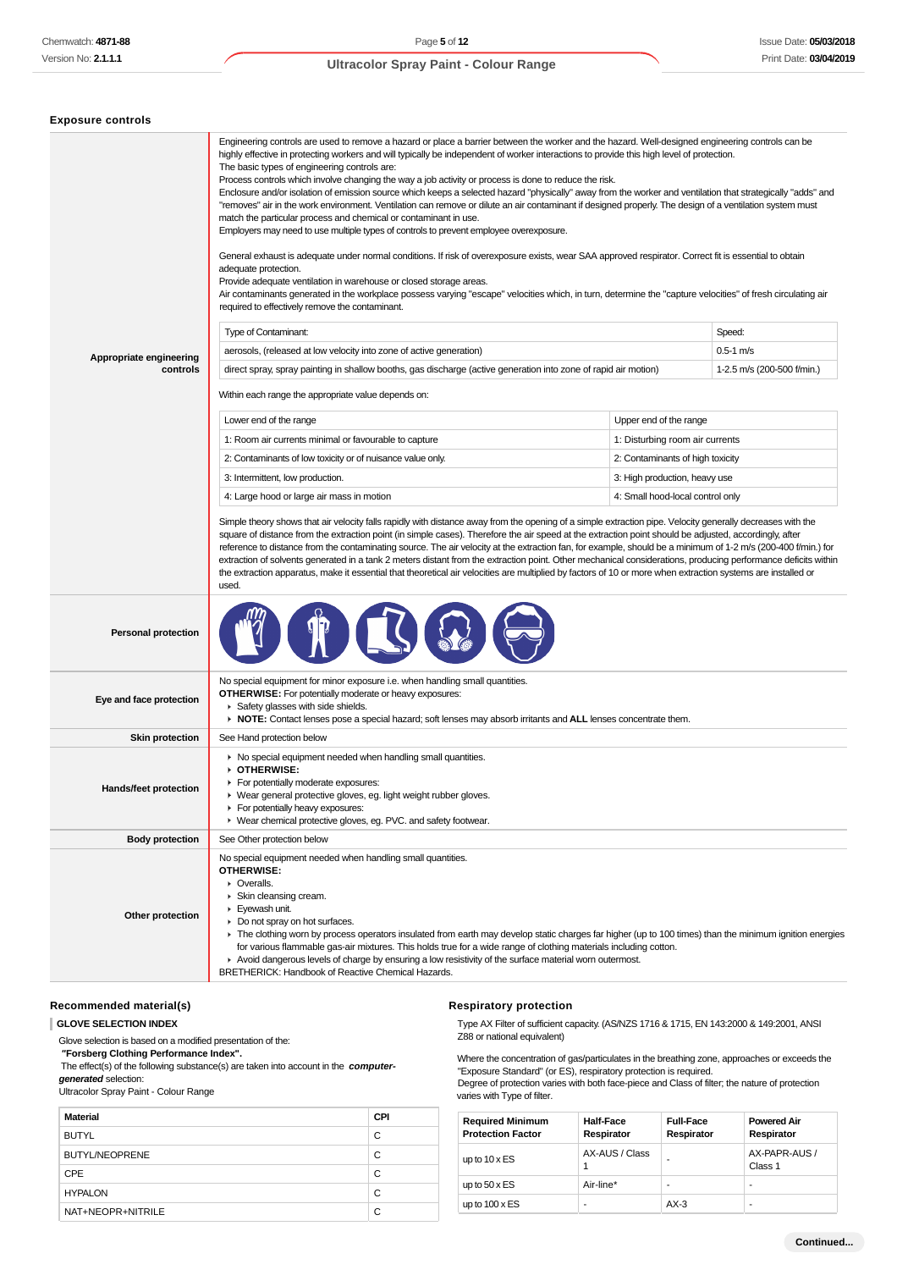| <b>Exposure controls</b>            |                                                                                                                                                                                                                                                                                                                                                                                                                                                                                                                                                                                                                                                                                                                                                                                                                                                                                                                                                                                                                                                                                                                                                                                                                                                                                                                                                                                                                                                  |                                  |                            |
|-------------------------------------|--------------------------------------------------------------------------------------------------------------------------------------------------------------------------------------------------------------------------------------------------------------------------------------------------------------------------------------------------------------------------------------------------------------------------------------------------------------------------------------------------------------------------------------------------------------------------------------------------------------------------------------------------------------------------------------------------------------------------------------------------------------------------------------------------------------------------------------------------------------------------------------------------------------------------------------------------------------------------------------------------------------------------------------------------------------------------------------------------------------------------------------------------------------------------------------------------------------------------------------------------------------------------------------------------------------------------------------------------------------------------------------------------------------------------------------------------|----------------------------------|----------------------------|
|                                     | Engineering controls are used to remove a hazard or place a barrier between the worker and the hazard. Well-designed engineering controls can be<br>highly effective in protecting workers and will typically be independent of worker interactions to provide this high level of protection.<br>The basic types of engineering controls are:<br>Process controls which involve changing the way a job activity or process is done to reduce the risk.<br>Enclosure and/or isolation of emission source which keeps a selected hazard "physically" away from the worker and ventilation that strategically "adds" and<br>"removes" air in the work environment. Ventilation can remove or dilute an air contaminant if designed properly. The design of a ventilation system must<br>match the particular process and chemical or contaminant in use.<br>Employers may need to use multiple types of controls to prevent employee overexposure.<br>General exhaust is adequate under normal conditions. If risk of overexposure exists, wear SAA approved respirator. Correct fit is essential to obtain<br>adequate protection.<br>Provide adequate ventilation in warehouse or closed storage areas.<br>Air contaminants generated in the workplace possess varying "escape" velocities which, in turn, determine the "capture velocities" of fresh circulating air<br>required to effectively remove the contaminant.<br>Type of Contaminant: |                                  | Speed:                     |
|                                     | aerosols, (released at low velocity into zone of active generation)                                                                                                                                                                                                                                                                                                                                                                                                                                                                                                                                                                                                                                                                                                                                                                                                                                                                                                                                                                                                                                                                                                                                                                                                                                                                                                                                                                              |                                  | $0.5 - 1$ m/s              |
| Appropriate engineering<br>controls | direct spray, spray painting in shallow booths, gas discharge (active generation into zone of rapid air motion)                                                                                                                                                                                                                                                                                                                                                                                                                                                                                                                                                                                                                                                                                                                                                                                                                                                                                                                                                                                                                                                                                                                                                                                                                                                                                                                                  |                                  | 1-2.5 m/s (200-500 f/min.) |
|                                     | Within each range the appropriate value depends on:                                                                                                                                                                                                                                                                                                                                                                                                                                                                                                                                                                                                                                                                                                                                                                                                                                                                                                                                                                                                                                                                                                                                                                                                                                                                                                                                                                                              |                                  |                            |
|                                     | Lower end of the range                                                                                                                                                                                                                                                                                                                                                                                                                                                                                                                                                                                                                                                                                                                                                                                                                                                                                                                                                                                                                                                                                                                                                                                                                                                                                                                                                                                                                           | Upper end of the range           |                            |
|                                     | 1: Room air currents minimal or favourable to capture                                                                                                                                                                                                                                                                                                                                                                                                                                                                                                                                                                                                                                                                                                                                                                                                                                                                                                                                                                                                                                                                                                                                                                                                                                                                                                                                                                                            | 1: Disturbing room air currents  |                            |
|                                     | 2: Contaminants of low toxicity or of nuisance value only.                                                                                                                                                                                                                                                                                                                                                                                                                                                                                                                                                                                                                                                                                                                                                                                                                                                                                                                                                                                                                                                                                                                                                                                                                                                                                                                                                                                       | 2: Contaminants of high toxicity |                            |
|                                     | 3: Intermittent, low production.                                                                                                                                                                                                                                                                                                                                                                                                                                                                                                                                                                                                                                                                                                                                                                                                                                                                                                                                                                                                                                                                                                                                                                                                                                                                                                                                                                                                                 | 3: High production, heavy use    |                            |
|                                     | 4: Large hood or large air mass in motion                                                                                                                                                                                                                                                                                                                                                                                                                                                                                                                                                                                                                                                                                                                                                                                                                                                                                                                                                                                                                                                                                                                                                                                                                                                                                                                                                                                                        | 4: Small hood-local control only |                            |
| <b>Personal protection</b>          | the extraction apparatus, make it essential that theoretical air velocities are multiplied by factors of 10 or more when extraction systems are installed or<br>used.                                                                                                                                                                                                                                                                                                                                                                                                                                                                                                                                                                                                                                                                                                                                                                                                                                                                                                                                                                                                                                                                                                                                                                                                                                                                            |                                  |                            |
|                                     | No special equipment for minor exposure i.e. when handling small quantities.                                                                                                                                                                                                                                                                                                                                                                                                                                                                                                                                                                                                                                                                                                                                                                                                                                                                                                                                                                                                                                                                                                                                                                                                                                                                                                                                                                     |                                  |                            |
| Eye and face protection             | <b>OTHERWISE:</b> For potentially moderate or heavy exposures:<br>▶ Safety glasses with side shields.<br>► NOTE: Contact lenses pose a special hazard; soft lenses may absorb irritants and ALL lenses concentrate them.                                                                                                                                                                                                                                                                                                                                                                                                                                                                                                                                                                                                                                                                                                                                                                                                                                                                                                                                                                                                                                                                                                                                                                                                                         |                                  |                            |
| <b>Skin protection</b>              | See Hand protection below                                                                                                                                                                                                                                                                                                                                                                                                                                                                                                                                                                                                                                                                                                                                                                                                                                                                                                                                                                                                                                                                                                                                                                                                                                                                                                                                                                                                                        |                                  |                            |
| <b>Hands/feet protection</b>        | ▶ No special equipment needed when handling small quantities.<br>OTHERWISE:<br>For potentially moderate exposures:<br>▶ Wear general protective gloves, eg. light weight rubber gloves.<br>F For potentially heavy exposures:<br>▶ Wear chemical protective gloves, eg. PVC. and safety footwear.                                                                                                                                                                                                                                                                                                                                                                                                                                                                                                                                                                                                                                                                                                                                                                                                                                                                                                                                                                                                                                                                                                                                                |                                  |                            |
| <b>Body protection</b>              | See Other protection below                                                                                                                                                                                                                                                                                                                                                                                                                                                                                                                                                                                                                                                                                                                                                                                                                                                                                                                                                                                                                                                                                                                                                                                                                                                                                                                                                                                                                       |                                  |                            |
|                                     | No special equipment needed when handling small quantities.                                                                                                                                                                                                                                                                                                                                                                                                                                                                                                                                                                                                                                                                                                                                                                                                                                                                                                                                                                                                                                                                                                                                                                                                                                                                                                                                                                                      |                                  |                            |

## **Recommended material(s)**

#### **GLOVE SELECTION INDEX**

Glove selection is based on a modified presentation of the:

 **"Forsberg Clothing Performance Index".** The effect(s) of the following substance(s) are taken into account in the **computer-**

**generated** selection:

Ultracolor Spray Paint - Colour Range

| <b>Material</b>       | <b>CPI</b> |
|-----------------------|------------|
| <b>BUTYL</b>          | C          |
| <b>BUTYL/NEOPRENE</b> | C          |
| <b>CPE</b>            | C          |
| <b>HYPALON</b>        | C          |
| NAT+NEOPR+NITRILE     | C          |

#### **Respiratory protection**

Type AX Filter of sufficient capacity. (AS/NZS 1716 & 1715, EN 143:2000 & 149:2001, ANSI Z88 or national equivalent)

Where the concentration of gas/particulates in the breathing zone, approaches or exceeds the "Exposure Standard" (or ES), respiratory protection is required.

Degree of protection varies with both face-piece and Class of filter; the nature of protection varies with Type of filter.

| <b>Required Minimum</b><br><b>Protection Factor</b> | <b>Half-Face</b><br>Respirator | <b>Full-Face</b><br>Respirator | <b>Powered Air</b><br>Respirator |
|-----------------------------------------------------|--------------------------------|--------------------------------|----------------------------------|
| up to $10 \times ES$                                | AX-AUS / Class                 | ۰                              | AX-PAPR-AUS /<br>Class 1         |
| up to $50 \times ES$                                | Air-line*                      | ۰                              |                                  |
| up to $100 \times ES$                               |                                | $AX-3$                         | ۰                                |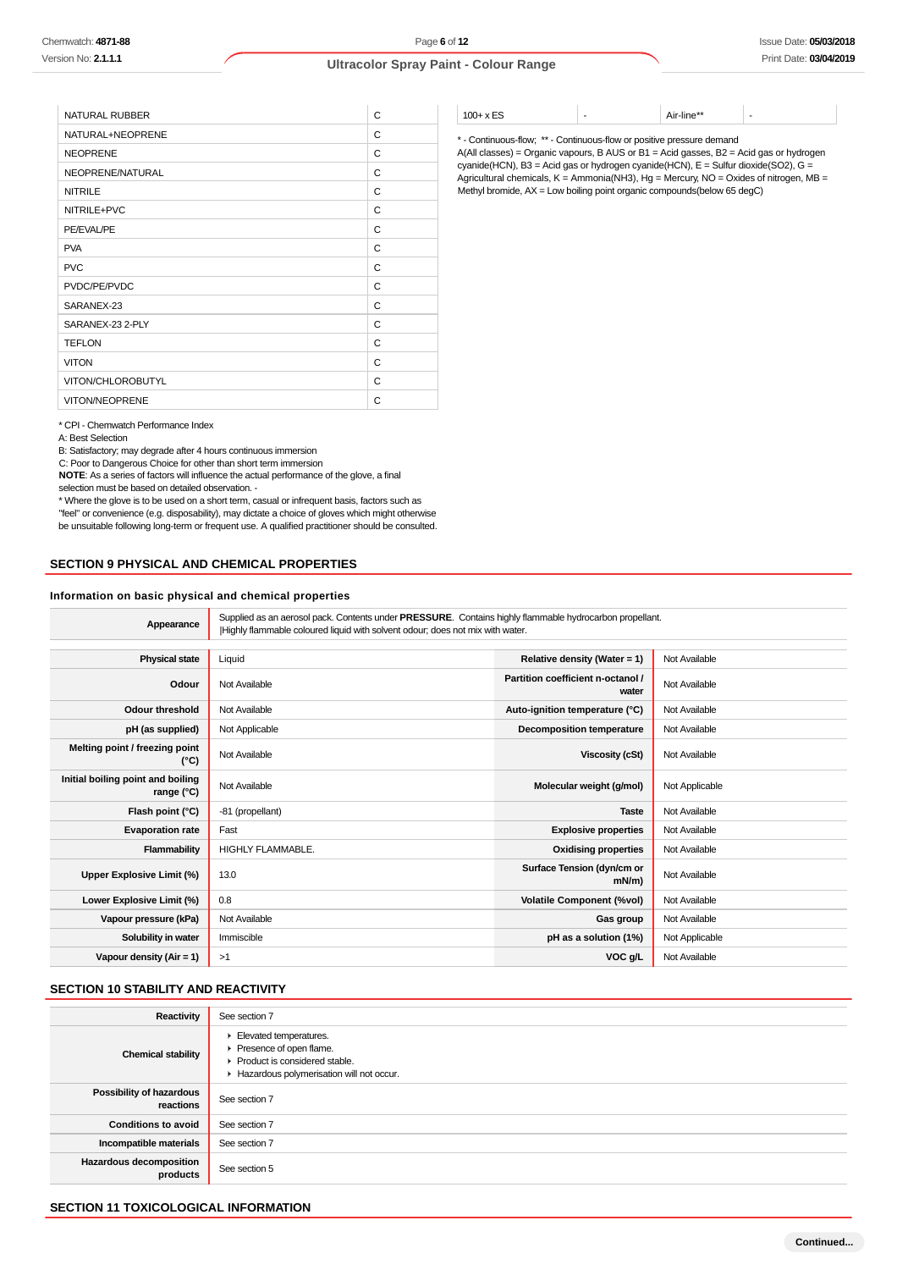| <b>NATURAL RUBBER</b> | C |
|-----------------------|---|
| NATURAL+NEOPRENE      | C |
| <b>NEOPRENE</b>       | C |
| NEOPRENE/NATURAL      | C |
| <b>NITRILE</b>        | C |
| NITRILE+PVC           | C |
| PE/EVAL/PE            | C |
| <b>PVA</b>            | C |
| <b>PVC</b>            | C |
| PVDC/PE/PVDC          | C |
| SARANEX-23            | C |
| SARANEX-23 2-PLY      | C |
| <b>TEFLON</b>         | C |
| <b>VITON</b>          | C |
| VITON/CHLOROBUTYL     | C |
| <b>VITON/NEOPRENE</b> | C |

\* CPI - Chemwatch Performance Index

A: Best Selection

B: Satisfactory; may degrade after 4 hours continuous immersion

C: Poor to Dangerous Choice for other than short term immersion

**NOTE**: As a series of factors will influence the actual performance of the glove, a final

selection must be based on detailed observation. -

\* Where the glove is to be used on a short term, casual or infrequent basis, factors such as "feel" or convenience (e.g. disposability), may dictate a choice of gloves which might otherwise be unsuitable following long-term or frequent use. A qualified practitioner should be consulted.

## **SECTION 9 PHYSICAL AND CHEMICAL PROPERTIES**

#### **Information on basic physical and chemical properties**

| Appearance | Supplied as an aerosol pack. Contents under PRESSURE. Contains highly flammable hydrocarbon propellant.<br>Highly flammable coloured liquid with solvent odour; does not mix with water. |
|------------|------------------------------------------------------------------------------------------------------------------------------------------------------------------------------------------|
|------------|------------------------------------------------------------------------------------------------------------------------------------------------------------------------------------------|

| <b>Physical state</b>                           | Liquid            | Relative density (Water = 1)               | Not Available  |
|-------------------------------------------------|-------------------|--------------------------------------------|----------------|
| Odour                                           | Not Available     | Partition coefficient n-octanol /<br>water | Not Available  |
| <b>Odour threshold</b>                          | Not Available     | Auto-ignition temperature (°C)             | Not Available  |
| pH (as supplied)                                | Not Applicable    | <b>Decomposition temperature</b>           | Not Available  |
| Melting point / freezing point<br>(°C)          | Not Available     | <b>Viscosity (cSt)</b>                     | Not Available  |
| Initial boiling point and boiling<br>range (°C) | Not Available     | Molecular weight (g/mol)                   | Not Applicable |
| Flash point (°C)                                | -81 (propellant)  | <b>Taste</b>                               | Not Available  |
| <b>Evaporation rate</b>                         | Fast              | <b>Explosive properties</b>                | Not Available  |
| Flammability                                    | HIGHLY FLAMMABLE. | <b>Oxidising properties</b>                | Not Available  |
| Upper Explosive Limit (%)                       | 13.0              | Surface Tension (dyn/cm or<br>$mN/m$ )     | Not Available  |
| Lower Explosive Limit (%)                       | 0.8               | <b>Volatile Component (%vol)</b>           | Not Available  |
| Vapour pressure (kPa)                           | Not Available     | Gas group                                  | Not Available  |
| Solubility in water                             | Immiscible        | pH as a solution (1%)                      | Not Applicable |
| Vapour density $(Air = 1)$                      | >1                | VOC g/L                                    | Not Available  |

#### **SECTION 10 STABILITY AND REACTIVITY**

| Reactivity                                 | See section 7                                                                                                                    |
|--------------------------------------------|----------------------------------------------------------------------------------------------------------------------------------|
| <b>Chemical stability</b>                  | Elevated temperatures.<br>Presence of open flame.<br>▶ Product is considered stable.<br>Hazardous polymerisation will not occur. |
| Possibility of hazardous<br>reactions      | See section 7                                                                                                                    |
| <b>Conditions to avoid</b>                 | See section 7                                                                                                                    |
| Incompatible materials                     | See section 7                                                                                                                    |
| <b>Hazardous decomposition</b><br>products | See section 5                                                                                                                    |

#### **SECTION 11 TOXICOLOGICAL INFORMATION**

 $100+x$  ES  $\qquad \qquad$  -  $\qquad \qquad$  Air-line\*\*

\* - Continuous-flow; \*\* - Continuous-flow or positive pressure demand A(All classes) = Organic vapours, B AUS or B1 = Acid gasses, B2 = Acid gas or hydrogen  $c$ yanide(HCN), B3 = Acid gas or hydrogen cyanide(HCN), E = Sulfur dioxide(SO2), G = Agricultural chemicals, K = Ammonia(NH3), Hg = Mercury, NO = Oxides of nitrogen, MB = Methyl bromide, AX = Low boiling point organic compounds(below 65 degC)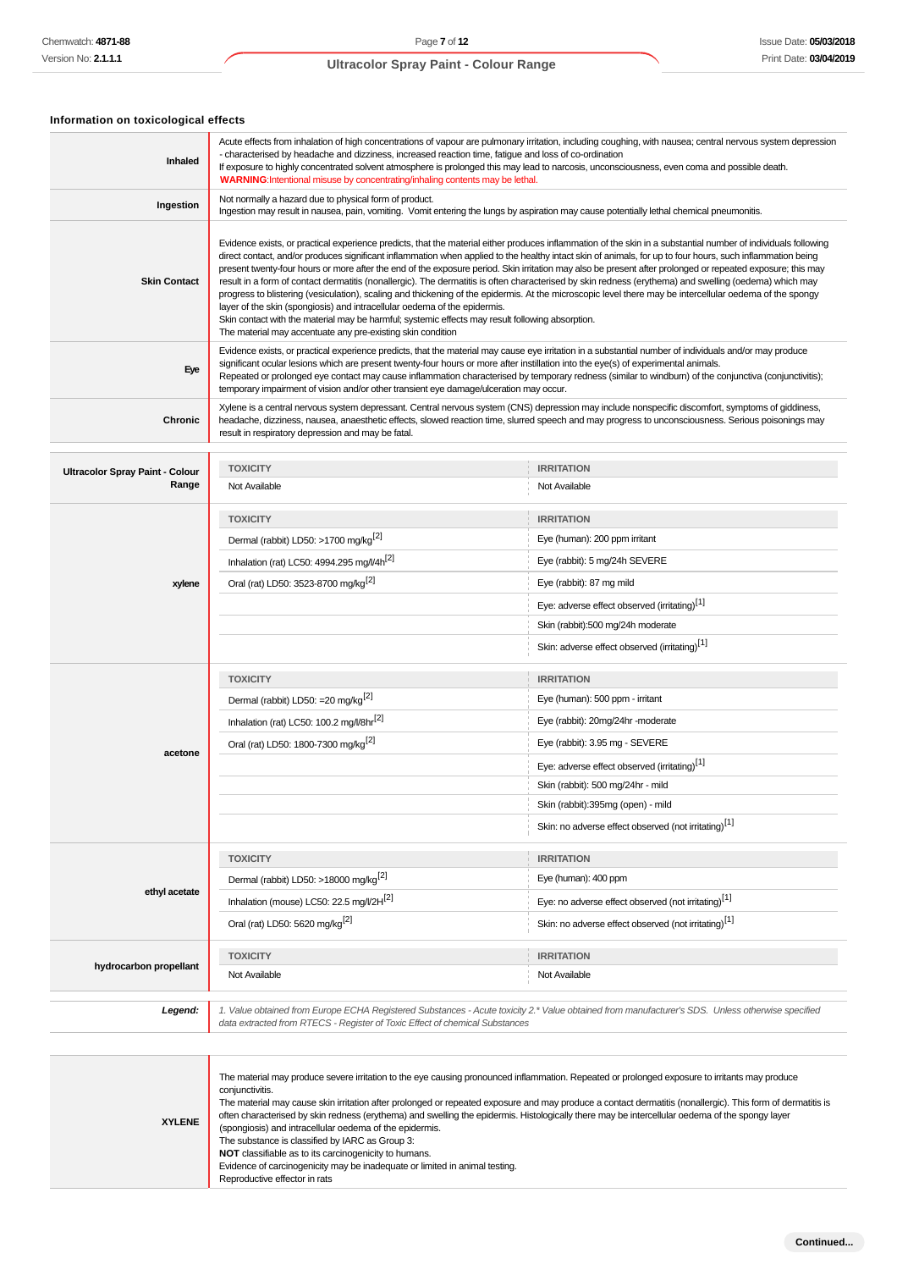# **Information on toxicological effects**

| Inhaled                                         | Acute effects from inhalation of high concentrations of vapour are pulmonary irritation, including coughing, with nausea; central nervous system depression<br>- characterised by headache and dizziness, increased reaction time, fatigue and loss of co-ordination<br>If exposure to highly concentrated solvent atmosphere is prolonged this may lead to narcosis, unconsciousness, even coma and possible death.<br><b>WARNING:</b> Intentional misuse by concentrating/inhaling contents may be lethal.                                                                                                                                                                                                                                                                                                                                                                                                                                                                                                                                                     |                                                                                                                                                                                                                                                                                                                  |  |
|-------------------------------------------------|------------------------------------------------------------------------------------------------------------------------------------------------------------------------------------------------------------------------------------------------------------------------------------------------------------------------------------------------------------------------------------------------------------------------------------------------------------------------------------------------------------------------------------------------------------------------------------------------------------------------------------------------------------------------------------------------------------------------------------------------------------------------------------------------------------------------------------------------------------------------------------------------------------------------------------------------------------------------------------------------------------------------------------------------------------------|------------------------------------------------------------------------------------------------------------------------------------------------------------------------------------------------------------------------------------------------------------------------------------------------------------------|--|
| Ingestion                                       | Not normally a hazard due to physical form of product.<br>Ingestion may result in nausea, pain, vomiting. Vomit entering the lungs by aspiration may cause potentially lethal chemical pneumonitis.                                                                                                                                                                                                                                                                                                                                                                                                                                                                                                                                                                                                                                                                                                                                                                                                                                                              |                                                                                                                                                                                                                                                                                                                  |  |
| <b>Skin Contact</b>                             | Evidence exists, or practical experience predicts, that the material either produces inflammation of the skin in a substantial number of individuals following<br>direct contact, and/or produces significant inflammation when applied to the healthy intact skin of animals, for up to four hours, such inflammation being<br>present twenty-four hours or more after the end of the exposure period. Skin irritation may also be present after prolonged or repeated exposure; this may<br>result in a form of contact dermatitis (nonallergic). The dermatitis is often characterised by skin redness (erythema) and swelling (oedema) which may<br>progress to blistering (vesiculation), scaling and thickening of the epidermis. At the microscopic level there may be intercellular oedema of the spongy<br>layer of the skin (spongiosis) and intracellular oedema of the epidermis.<br>Skin contact with the material may be harmful; systemic effects may result following absorption.<br>The material may accentuate any pre-existing skin condition |                                                                                                                                                                                                                                                                                                                  |  |
| Eye                                             | significant ocular lesions which are present twenty-four hours or more after instillation into the eye(s) of experimental animals.<br>temporary impairment of vision and/or other transient eye damage/ulceration may occur.                                                                                                                                                                                                                                                                                                                                                                                                                                                                                                                                                                                                                                                                                                                                                                                                                                     | Evidence exists, or practical experience predicts, that the material may cause eye irritation in a substantial number of individuals and/or may produce<br>Repeated or prolonged eye contact may cause inflammation characterised by temporary redness (similar to windbum) of the conjunctiva (conjunctivitis); |  |
| Chronic                                         | result in respiratory depression and may be fatal.                                                                                                                                                                                                                                                                                                                                                                                                                                                                                                                                                                                                                                                                                                                                                                                                                                                                                                                                                                                                               | Xylene is a central nervous system depressant. Central nervous system (CNS) depression may include nonspecific discomfort, symptoms of giddiness,<br>headache, dizziness, nausea, anaesthetic effects, slowed reaction time, slurred speech and may progress to unconsciousness. Serious poisonings may          |  |
|                                                 | <b>TOXICITY</b>                                                                                                                                                                                                                                                                                                                                                                                                                                                                                                                                                                                                                                                                                                                                                                                                                                                                                                                                                                                                                                                  | <b>IRRITATION</b>                                                                                                                                                                                                                                                                                                |  |
| <b>Ultracolor Spray Paint - Colour</b><br>Range | Not Available                                                                                                                                                                                                                                                                                                                                                                                                                                                                                                                                                                                                                                                                                                                                                                                                                                                                                                                                                                                                                                                    | Not Available                                                                                                                                                                                                                                                                                                    |  |
|                                                 |                                                                                                                                                                                                                                                                                                                                                                                                                                                                                                                                                                                                                                                                                                                                                                                                                                                                                                                                                                                                                                                                  |                                                                                                                                                                                                                                                                                                                  |  |
|                                                 | <b>TOXICITY</b>                                                                                                                                                                                                                                                                                                                                                                                                                                                                                                                                                                                                                                                                                                                                                                                                                                                                                                                                                                                                                                                  | <b>IRRITATION</b>                                                                                                                                                                                                                                                                                                |  |
|                                                 | Dermal (rabbit) LD50: >1700 mg/kg <sup>[2]</sup>                                                                                                                                                                                                                                                                                                                                                                                                                                                                                                                                                                                                                                                                                                                                                                                                                                                                                                                                                                                                                 | Eye (human): 200 ppm irritant                                                                                                                                                                                                                                                                                    |  |
|                                                 | Inhalation (rat) LC50: 4994.295 mg/l/4h <sup>[2]</sup>                                                                                                                                                                                                                                                                                                                                                                                                                                                                                                                                                                                                                                                                                                                                                                                                                                                                                                                                                                                                           | Eye (rabbit): 5 mg/24h SEVERE                                                                                                                                                                                                                                                                                    |  |
| xylene                                          | Oral (rat) LD50: 3523-8700 mg/kg <sup>[2]</sup>                                                                                                                                                                                                                                                                                                                                                                                                                                                                                                                                                                                                                                                                                                                                                                                                                                                                                                                                                                                                                  | Eye (rabbit): 87 mg mild                                                                                                                                                                                                                                                                                         |  |
|                                                 |                                                                                                                                                                                                                                                                                                                                                                                                                                                                                                                                                                                                                                                                                                                                                                                                                                                                                                                                                                                                                                                                  | Eye: adverse effect observed (irritating) <sup>[1]</sup>                                                                                                                                                                                                                                                         |  |
|                                                 |                                                                                                                                                                                                                                                                                                                                                                                                                                                                                                                                                                                                                                                                                                                                                                                                                                                                                                                                                                                                                                                                  | Skin (rabbit):500 mg/24h moderate                                                                                                                                                                                                                                                                                |  |
|                                                 |                                                                                                                                                                                                                                                                                                                                                                                                                                                                                                                                                                                                                                                                                                                                                                                                                                                                                                                                                                                                                                                                  | Skin: adverse effect observed (irritating)[1]                                                                                                                                                                                                                                                                    |  |
|                                                 | <b>TOXICITY</b>                                                                                                                                                                                                                                                                                                                                                                                                                                                                                                                                                                                                                                                                                                                                                                                                                                                                                                                                                                                                                                                  | <b>IRRITATION</b>                                                                                                                                                                                                                                                                                                |  |
|                                                 | Dermal (rabbit) LD50: = 20 mg/kg <sup>[2]</sup>                                                                                                                                                                                                                                                                                                                                                                                                                                                                                                                                                                                                                                                                                                                                                                                                                                                                                                                                                                                                                  | Eye (human): 500 ppm - irritant                                                                                                                                                                                                                                                                                  |  |
|                                                 | Inhalation (rat) LC50: 100.2 mg/l/8hr <sup>[2]</sup>                                                                                                                                                                                                                                                                                                                                                                                                                                                                                                                                                                                                                                                                                                                                                                                                                                                                                                                                                                                                             | Eye (rabbit): 20mg/24hr -moderate                                                                                                                                                                                                                                                                                |  |
|                                                 | Oral (rat) LD50: 1800-7300 mg/kg <sup>[2]</sup>                                                                                                                                                                                                                                                                                                                                                                                                                                                                                                                                                                                                                                                                                                                                                                                                                                                                                                                                                                                                                  | Eye (rabbit): 3.95 mg - SEVERE                                                                                                                                                                                                                                                                                   |  |
| acetone                                         |                                                                                                                                                                                                                                                                                                                                                                                                                                                                                                                                                                                                                                                                                                                                                                                                                                                                                                                                                                                                                                                                  | Eye: adverse effect observed (irritating) <sup>[1]</sup>                                                                                                                                                                                                                                                         |  |
|                                                 |                                                                                                                                                                                                                                                                                                                                                                                                                                                                                                                                                                                                                                                                                                                                                                                                                                                                                                                                                                                                                                                                  | Skin (rabbit): 500 mg/24hr - mild                                                                                                                                                                                                                                                                                |  |
|                                                 |                                                                                                                                                                                                                                                                                                                                                                                                                                                                                                                                                                                                                                                                                                                                                                                                                                                                                                                                                                                                                                                                  | Skin (rabbit):395mg (open) - mild                                                                                                                                                                                                                                                                                |  |
|                                                 |                                                                                                                                                                                                                                                                                                                                                                                                                                                                                                                                                                                                                                                                                                                                                                                                                                                                                                                                                                                                                                                                  | Skin: no adverse effect observed (not irritating) <sup>[1]</sup>                                                                                                                                                                                                                                                 |  |
|                                                 |                                                                                                                                                                                                                                                                                                                                                                                                                                                                                                                                                                                                                                                                                                                                                                                                                                                                                                                                                                                                                                                                  |                                                                                                                                                                                                                                                                                                                  |  |
|                                                 | <b>TOXICITY</b>                                                                                                                                                                                                                                                                                                                                                                                                                                                                                                                                                                                                                                                                                                                                                                                                                                                                                                                                                                                                                                                  | <b>IRRITATION</b><br>Eye (human): 400 ppm                                                                                                                                                                                                                                                                        |  |
| ethyl acetate                                   | Dermal (rabbit) LD50: >18000 mg/kg <sup>[2]</sup>                                                                                                                                                                                                                                                                                                                                                                                                                                                                                                                                                                                                                                                                                                                                                                                                                                                                                                                                                                                                                |                                                                                                                                                                                                                                                                                                                  |  |
|                                                 | Inhalation (mouse) LC50: 22.5 mg/l/2H <sup>[2]</sup>                                                                                                                                                                                                                                                                                                                                                                                                                                                                                                                                                                                                                                                                                                                                                                                                                                                                                                                                                                                                             | Eye: no adverse effect observed (not irritating) <sup>[1]</sup>                                                                                                                                                                                                                                                  |  |
|                                                 | Oral (rat) LD50: 5620 mg/kg <sup>[2]</sup>                                                                                                                                                                                                                                                                                                                                                                                                                                                                                                                                                                                                                                                                                                                                                                                                                                                                                                                                                                                                                       | Skin: no adverse effect observed (not irritating) <sup>[1]</sup>                                                                                                                                                                                                                                                 |  |
|                                                 | <b>TOXICITY</b>                                                                                                                                                                                                                                                                                                                                                                                                                                                                                                                                                                                                                                                                                                                                                                                                                                                                                                                                                                                                                                                  | <b>IRRITATION</b>                                                                                                                                                                                                                                                                                                |  |
| hydrocarbon propellant                          | Not Available                                                                                                                                                                                                                                                                                                                                                                                                                                                                                                                                                                                                                                                                                                                                                                                                                                                                                                                                                                                                                                                    | Not Available                                                                                                                                                                                                                                                                                                    |  |
| Legend:                                         | data extracted from RTECS - Register of Toxic Effect of chemical Substances                                                                                                                                                                                                                                                                                                                                                                                                                                                                                                                                                                                                                                                                                                                                                                                                                                                                                                                                                                                      | 1. Value obtained from Europe ECHA Registered Substances - Acute toxicity 2.* Value obtained from manufacturer's SDS. Unless otherwise specified                                                                                                                                                                 |  |
|                                                 |                                                                                                                                                                                                                                                                                                                                                                                                                                                                                                                                                                                                                                                                                                                                                                                                                                                                                                                                                                                                                                                                  |                                                                                                                                                                                                                                                                                                                  |  |
| <b>XYLENE</b>                                   | The material may produce severe irritation to the eye causing pronounced inflammation. Repeated or prolonged exposure to irritants may produce<br>conjunctivitis.<br>often characterised by skin redness (erythema) and swelling the epidermis. Histologically there may be intercellular oedema of the spongy layer<br>(spongiosis) and intracellular oedema of the epidermis.<br>The substance is classified by IARC as Group 3:                                                                                                                                                                                                                                                                                                                                                                                                                                                                                                                                                                                                                               | The material may cause skin irritation after prolonged or repeated exposure and may produce a contact dermatitis (nonallergic). This form of dermatitis is                                                                                                                                                       |  |

**NOT** classifiable as to its carcinogenicity to humans. Evidence of carcinogenicity may be inadequate or limited in animal testing. Reproductive effector in rats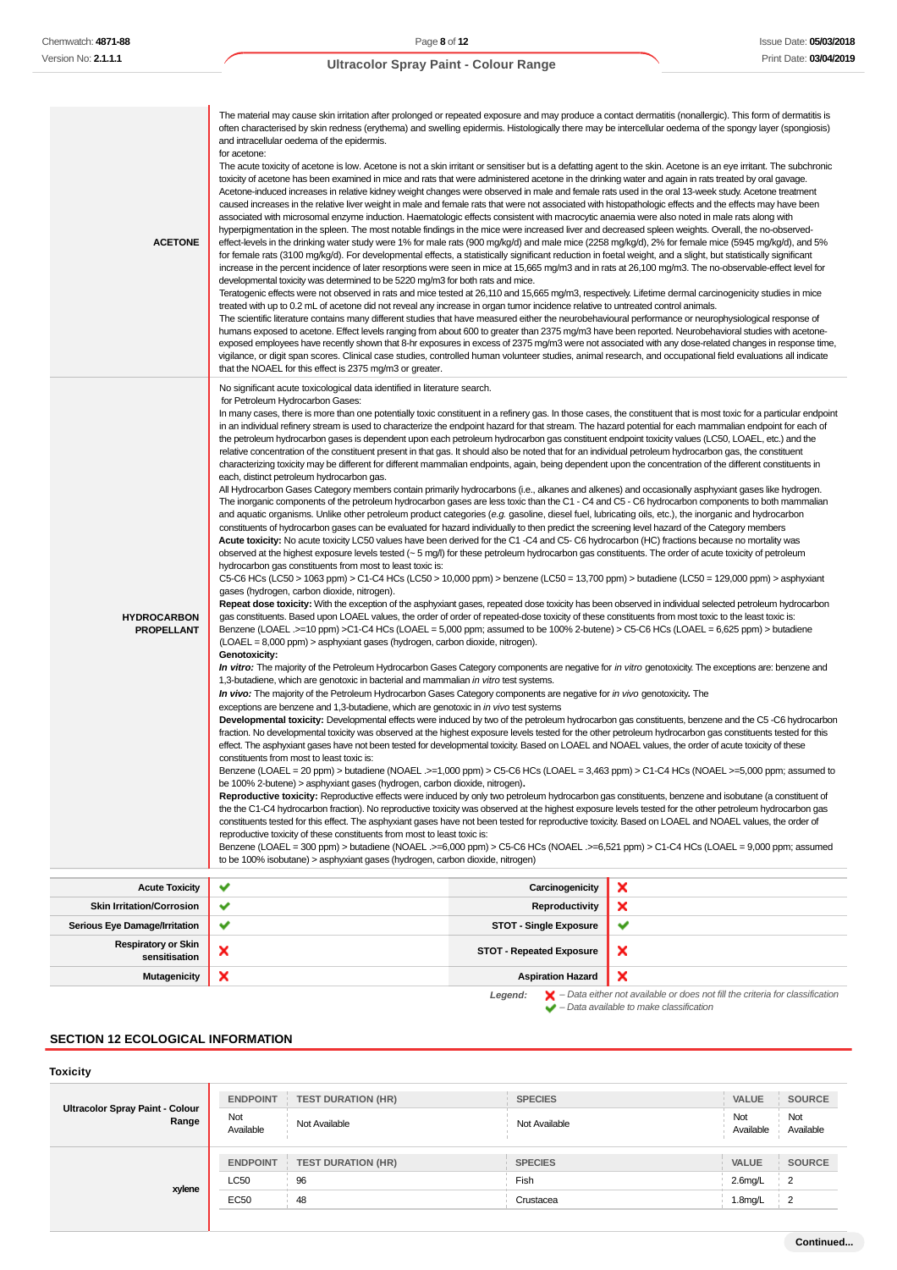| <b>ACETONE</b>                              | The material may cause skin irritation after prolonged or repeated exposure and may produce a contact dermatitis (nonallergic). This form of dermatitis is<br>often characterised by skin redness (erythema) and swelling epidermis. Histologically there may be intercellular oedema of the spongy layer (spongiosis)<br>and intracellular oedema of the epidermis.<br>for acetone:<br>The acute toxicity of acetone is low. Acetone is not a skin irritant or sensitiser but is a defatting agent to the skin. Acetone is an eye irritant. The subchronic<br>toxicity of acetone has been examined in mice and rats that were administered acetone in the drinking water and again in rats treated by oral gavage.<br>Acetone-induced increases in relative kidney weight changes were observed in male and female rats used in the oral 13-week study. Acetone treatment<br>caused increases in the relative liver weight in male and female rats that were not associated with histopathologic effects and the effects may have been<br>associated with microsomal enzyme induction. Haematologic effects consistent with macrocytic anaemia were also noted in male rats along with<br>hyperpigmentation in the spleen. The most notable findings in the mice were increased liver and decreased spleen weights. Overall, the no-observed-<br>effect-levels in the drinking water study were 1% for male rats (900 mg/kg/d) and male mice (2258 mg/kg/d), 2% for female mice (5945 mg/kg/d), and 5%<br>for female rats (3100 mg/kg/d). For developmental effects, a statistically significant reduction in foetal weight, and a slight, but statistically significant<br>increase in the percent incidence of later resorptions were seen in mice at 15,665 mg/m3 and in rats at 26,100 mg/m3. The no-observable-effect level for<br>developmental toxicity was determined to be 5220 mg/m3 for both rats and mice.<br>Teratogenic effects were not observed in rats and mice tested at 26,110 and 15,665 mg/m3, respectively. Lifetime dermal carcinogenicity studies in mice<br>treated with up to 0.2 mL of acetone did not reveal any increase in organ tumor incidence relative to untreated control animals.<br>The scientific literature contains many different studies that have measured either the neurobehavioural performance or neurophysiological response of<br>humans exposed to acetone. Effect levels ranging from about 600 to greater than 2375 mg/m3 have been reported. Neurobehavioral studies with acetone-<br>exposed employees have recently shown that 8-hr exposures in excess of 2375 mg/m3 were not associated with any dose-related changes in response time,<br>vigilance, or digit span scores. Clinical case studies, controlled human volunteer studies, animal research, and occupational field evaluations all indicate<br>that the NOAEL for this effect is 2375 mg/m3 or greater.                                                                                                                                                                                                                                                                                                                                                                                                                                                                                                                                                                                                                                                                                                                                                                                                                                                                                                                                                                                                                                                                                                                                                                                                                                                                                                                                                                                                                                                                                                                                                                                                                                                                                                                                                                                                   |   |  |
|---------------------------------------------|----------------------------------------------------------------------------------------------------------------------------------------------------------------------------------------------------------------------------------------------------------------------------------------------------------------------------------------------------------------------------------------------------------------------------------------------------------------------------------------------------------------------------------------------------------------------------------------------------------------------------------------------------------------------------------------------------------------------------------------------------------------------------------------------------------------------------------------------------------------------------------------------------------------------------------------------------------------------------------------------------------------------------------------------------------------------------------------------------------------------------------------------------------------------------------------------------------------------------------------------------------------------------------------------------------------------------------------------------------------------------------------------------------------------------------------------------------------------------------------------------------------------------------------------------------------------------------------------------------------------------------------------------------------------------------------------------------------------------------------------------------------------------------------------------------------------------------------------------------------------------------------------------------------------------------------------------------------------------------------------------------------------------------------------------------------------------------------------------------------------------------------------------------------------------------------------------------------------------------------------------------------------------------------------------------------------------------------------------------------------------------------------------------------------------------------------------------------------------------------------------------------------------------------------------------------------------------------------------------------------------------------------------------------------------------------------------------------------------------------------------------------------------------------------------------------------------------------------------------------------------------------------------------------------------------------------------------------------------------------------------------------------------------------------------------------------------------------------------------------------------------------------------------------------------------------------------------------------------------------------------------------------------------------------------------------------------------------------------------------------------------------------------------------------------------------------------------------------------------------------------------------------------------------------------------------------------------------------------------------------------------------------------------------------------------------------------------------------------------------------------------------------------------------------------------------------------------------------------------------------------------------------------------------------------------------------------------------------------------------------------------------------------------------------------------------------------------------------------------------------------------------------------------------------------------------------------------------------------------------------------------------------------------------------------------------------------------------------------------------------------------------------------------------------------------------------------------------------------------------------------------------------------------------------------------------------------------------------------------------------------------------------------------------------------------------------------------------------------------|---|--|
| <b>HYDROCARBON</b><br>PROPELLANT            | No significant acute toxicological data identified in literature search.<br>for Petroleum Hydrocarbon Gases:<br>In many cases, there is more than one potentially toxic constituent in a refinery gas. In those cases, the constituent that is most toxic for a particular endpoint<br>in an individual refinery stream is used to characterize the endpoint hazard for that stream. The hazard potential for each mammalian endpoint for each of<br>the petroleum hydrocarbon gases is dependent upon each petroleum hydrocarbon gas constituent endpoint toxicity values (LC50, LOAEL, etc.) and the<br>relative concentration of the constituent present in that gas. It should also be noted that for an individual petroleum hydrocarbon gas, the constituent<br>characterizing toxicity may be different for different mammalian endpoints, again, being dependent upon the concentration of the different constituents in<br>each, distinct petroleum hydrocarbon gas.<br>All Hydrocarbon Gases Category members contain primarily hydrocarbons (i.e., alkanes and alkenes) and occasionally asphyxiant gases like hydrogen.<br>The inorganic components of the petroleum hydrocarbon gases are less toxic than the C1 - C4 and C5 - C6 hydrocarbon components to both mammalian<br>and aquatic organisms. Unlike other petroleum product categories (e.g. gasoline, diesel fuel, lubricating oils, etc.), the inorganic and hydrocarbon<br>constituents of hydrocarbon gases can be evaluated for hazard individually to then predict the screening level hazard of the Category members<br>Acute toxicity: No acute toxicity LC50 values have been derived for the C1 -C4 and C5- C6 hydrocarbon (HC) fractions because no mortality was<br>observed at the highest exposure levels tested (~5 mg/l) for these petroleum hydrocarbon gas constituents. The order of acute toxicity of petroleum<br>hydrocarbon gas constituents from most to least toxic is:<br>C5-C6 HCs (LC50 > 1063 ppm) > C1-C4 HCs (LC50 > 10,000 ppm) > benzene (LC50 = 13,700 ppm) > butadiene (LC50 = 129,000 ppm) > asphyxiant<br>gases (hydrogen, carbon dioxide, nitrogen).<br>Repeat dose toxicity: With the exception of the asphyxiant gases, repeated dose toxicity has been observed in individual selected petroleum hydrocarbon<br>gas constituents. Based upon LOAEL values, the order of order of repeated-dose toxicity of these constituents from most toxic to the least toxic is:<br>Benzene (LOAEL .>=10 ppm) >C1-C4 HCs (LOAEL = 5,000 ppm; assumed to be 100% 2-butene) > C5-C6 HCs (LOAEL = 6,625 ppm) > butadiene<br>(LOAEL = 8,000 ppm) > asphyxiant gases (hydrogen, carbon dioxide, nitrogen).<br>Genotoxicity:<br>In vitro: The majority of the Petroleum Hydrocarbon Gases Category components are negative for in vitro genotoxicity. The exceptions are: benzene and<br>1,3-butadiene, which are genotoxic in bacterial and mammalian in vitro test systems.<br>In vivo: The majority of the Petroleum Hydrocarbon Gases Category components are negative for in vivo genotoxicity. The<br>exceptions are benzene and 1,3-butadiene, which are genotoxic in in vivo test systems<br>Developmental toxicity: Developmental effects were induced by two of the petroleum hydrocarbon gas constituents, benzene and the C5 -C6 hydrocarbon<br>fraction. No developmental toxicity was observed at the highest exposure levels tested for the other petroleum hydrocarbon gas constituents tested for this<br>effect. The asphyxiant gases have not been tested for developmental toxicity. Based on LOAEL and NOAEL values, the order of acute toxicity of these<br>constituents from most to least toxic is:<br>Benzene (LOAEL = 20 ppm) > butadiene (NOAEL .>=1,000 ppm) > C5-C6 HCs (LOAEL = 3,463 ppm) > C1-C4 HCs (NOAEL >=5,000 ppm; assumed to<br>be 100% 2-butene) > asphyxiant gases (hydrogen, carbon dioxide, nitrogen).<br>Reproductive toxicity: Reproductive effects were induced by only two petroleum hydrocarbon gas constituents, benzene and isobutane (a constituent of<br>the the C1-C4 hydrocarbon fraction). No reproductive toxicity was observed at the highest exposure levels tested for the other petroleum hydrocarbon gas<br>constituents tested for this effect. The asphyxiant gases have not been tested for reproductive toxicity. Based on LOAEL and NOAEL values, the order of<br>reproductive toxicity of these constituents from most to least toxic is:<br>Benzene (LOAEL = 300 ppm) > butadiene (NOAEL .>=6,000 ppm) > C5-C6 HCs (NOAEL .>=6,521 ppm) > C1-C4 HCs (LOAEL = 9,000 ppm; assumed<br>to be 100% isobutane) > asphyxiant gases (hydrogen, carbon dioxide, nitrogen) |   |  |
| <b>Acute Toxicity</b>                       | ✔<br>Carcinogenicity                                                                                                                                                                                                                                                                                                                                                                                                                                                                                                                                                                                                                                                                                                                                                                                                                                                                                                                                                                                                                                                                                                                                                                                                                                                                                                                                                                                                                                                                                                                                                                                                                                                                                                                                                                                                                                                                                                                                                                                                                                                                                                                                                                                                                                                                                                                                                                                                                                                                                                                                                                                                                                                                                                                                                                                                                                                                                                                                                                                                                                                                                                                                                                                                                                                                                                                                                                                                                                                                                                                                                                                                                                                                                                                                                                                                                                                                                                                                                                                                                                                                                                                                                                                                                                                                                                                                                                                                                                                                                                                                                                                                                                                                                                             | × |  |
| <b>Skin Irritation/Corrosion</b>            | ✔<br>Reproductivity                                                                                                                                                                                                                                                                                                                                                                                                                                                                                                                                                                                                                                                                                                                                                                                                                                                                                                                                                                                                                                                                                                                                                                                                                                                                                                                                                                                                                                                                                                                                                                                                                                                                                                                                                                                                                                                                                                                                                                                                                                                                                                                                                                                                                                                                                                                                                                                                                                                                                                                                                                                                                                                                                                                                                                                                                                                                                                                                                                                                                                                                                                                                                                                                                                                                                                                                                                                                                                                                                                                                                                                                                                                                                                                                                                                                                                                                                                                                                                                                                                                                                                                                                                                                                                                                                                                                                                                                                                                                                                                                                                                                                                                                                                              | × |  |
| Serious Eye Damage/Irritation               | ✔<br><b>STOT - Single Exposure</b>                                                                                                                                                                                                                                                                                                                                                                                                                                                                                                                                                                                                                                                                                                                                                                                                                                                                                                                                                                                                                                                                                                                                                                                                                                                                                                                                                                                                                                                                                                                                                                                                                                                                                                                                                                                                                                                                                                                                                                                                                                                                                                                                                                                                                                                                                                                                                                                                                                                                                                                                                                                                                                                                                                                                                                                                                                                                                                                                                                                                                                                                                                                                                                                                                                                                                                                                                                                                                                                                                                                                                                                                                                                                                                                                                                                                                                                                                                                                                                                                                                                                                                                                                                                                                                                                                                                                                                                                                                                                                                                                                                                                                                                                                               | ✔ |  |
| <b>Respiratory or Skin</b><br>sensitisation | ×<br><b>STOT - Repeated Exposure</b>                                                                                                                                                                                                                                                                                                                                                                                                                                                                                                                                                                                                                                                                                                                                                                                                                                                                                                                                                                                                                                                                                                                                                                                                                                                                                                                                                                                                                                                                                                                                                                                                                                                                                                                                                                                                                                                                                                                                                                                                                                                                                                                                                                                                                                                                                                                                                                                                                                                                                                                                                                                                                                                                                                                                                                                                                                                                                                                                                                                                                                                                                                                                                                                                                                                                                                                                                                                                                                                                                                                                                                                                                                                                                                                                                                                                                                                                                                                                                                                                                                                                                                                                                                                                                                                                                                                                                                                                                                                                                                                                                                                                                                                                                             | × |  |

**Mutagenicity X** Aspiration Hazard  $\boldsymbol{\mathsf{x}}$ **Legend:** – Data either not available or does not fill the criteria for classification – Data available to make classification

# **SECTION 12 ECOLOGICAL INFORMATION**

#### **Toxicity**

| Ultracolor Spray Paint - Colour<br>Range | <b>ENDPOINT</b>  | <b>TEST DURATION (HR)</b> | <b>SPECIES</b> | <b>SOURCE</b><br><b>VALUE</b>        |
|------------------------------------------|------------------|---------------------------|----------------|--------------------------------------|
|                                          | Not<br>Available | Not Available             | Not Available  | Not<br>Not<br>Available<br>Available |
| xylene                                   | <b>ENDPOINT</b>  | <b>TEST DURATION (HR)</b> | <b>SPECIES</b> | VALUE<br><b>SOURCE</b>               |
|                                          | <b>LC50</b>      | 96                        | Fish           | $2.6$ mg/L<br>$\overline{2}$         |
|                                          | EC50             | 48                        | Crustacea      | $1.8$ mg/L<br>$\overline{2}$         |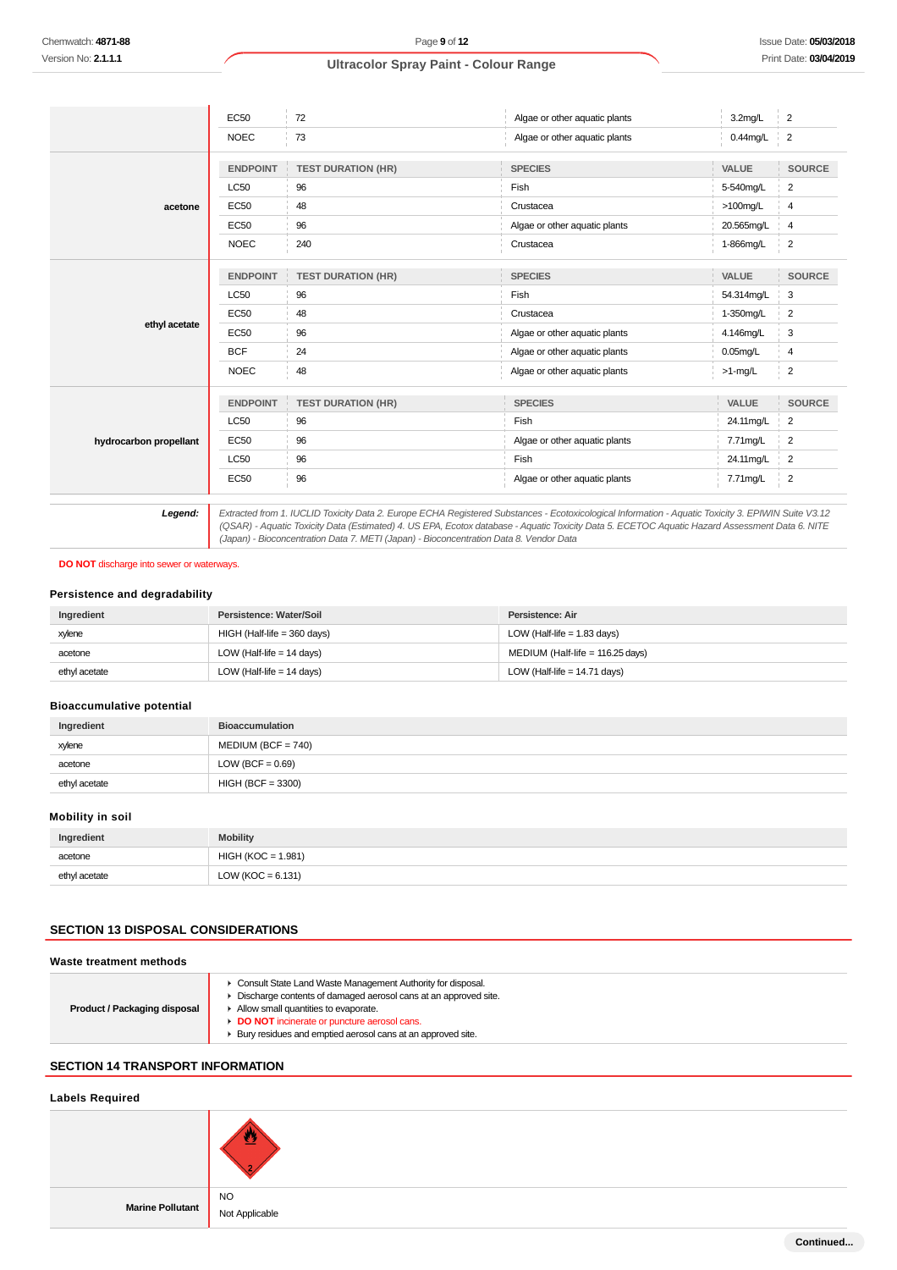|                        | <b>EC50</b>     | 72                        | Algae or other aquatic plants | 3.2mg/L      | $\overline{2}$ |
|------------------------|-----------------|---------------------------|-------------------------------|--------------|----------------|
|                        | <b>NOEC</b>     | 73                        | Algae or other aquatic plants | 0.44mg/L     | $\overline{2}$ |
|                        | <b>ENDPOINT</b> | <b>TEST DURATION (HR)</b> | <b>SPECIES</b>                | <b>VALUE</b> | <b>SOURCE</b>  |
|                        | <b>LC50</b>     | 96                        | Fish                          | 5-540mg/L    | 2              |
| acetone                | <b>EC50</b>     | 48                        | Crustacea                     | $>100$ mg/L  | 4              |
|                        | <b>EC50</b>     | 96                        | Algae or other aquatic plants | 20.565mg/L   | 4              |
|                        | <b>NOEC</b>     | 240                       | Crustacea                     | 1-866mg/L    | $\overline{2}$ |
|                        | <b>ENDPOINT</b> | <b>TEST DURATION (HR)</b> | <b>SPECIES</b>                | VALUE        | <b>SOURCE</b>  |
|                        | <b>LC50</b>     | 96                        | Fish                          | 54.314mg/L   | 3              |
| ethyl acetate          | <b>EC50</b>     | 48                        | Crustacea                     | 1-350mg/L    | 2              |
|                        | <b>EC50</b>     | 96                        | Algae or other aquatic plants | 4.146mg/L    | 3              |
|                        | <b>BCF</b>      | 24                        | Algae or other aquatic plants | $0.05$ mg/L  | 4              |
|                        | <b>NOEC</b>     | 48                        | Algae or other aquatic plants | $>1$ -mg/L   | $\overline{2}$ |
|                        | <b>ENDPOINT</b> | <b>TEST DURATION (HR)</b> | <b>SPECIES</b>                | VALUE        | <b>SOURCE</b>  |
| hydrocarbon propellant | <b>LC50</b>     | 96                        | Fish                          | 24.11mg/L    | 2              |
|                        | <b>EC50</b>     | 96                        | Algae or other aquatic plants | 7.71mg/L     | $\overline{2}$ |
|                        | <b>LC50</b>     | 96                        | Fish                          | 24.11mg/L    | $\overline{2}$ |
|                        | <b>EC50</b>     | 96                        | Algae or other aquatic plants | 7.71mg/L     | $\overline{2}$ |

13.12 Extracted from 1. IUCLID Toxicity Data 2. Europe ECHA Registered Substances - Ecotoxicological Information - Aquatic Toxicity 3. EPIWIN Suite V3.12<br>QSAR) - Aquatic Toxicity Data (Estimated) 4. US EPA, Ecotox database (Japan) - Bioconcentration Data 7. METI (Japan) - Bioconcentration Data 8. Vendor Data

#### **DO NOT** discharge into sewer or waterways.

# **Persistence and degradability**

| Ingredient    | Persistence: Water/Soil     | Persistence: Air                 |
|---------------|-----------------------------|----------------------------------|
| xylene        | HIGH (Half-life = 360 days) | LOW (Half-life $= 1.83$ days)    |
| acetone       | LOW (Half-life $= 14$ days) | MEDIUM (Half-life = 116.25 days) |
| ethyl acetate | LOW (Half-life $= 14$ days) | LOW (Half-life = $14.71$ days)   |

## **Bioaccumulative potential**

| Ingredient    | <b>Bioaccumulation</b> |
|---------------|------------------------|
| xylene        | $MEDIUM (BCF = 740)$   |
| acetone       | LOW (BCF = $0.69$ )    |
| ethyl acetate | $HIGH (BCF = 3300)$    |

## **Mobility in soil**

| Ingredient    | <b>Mobility</b>       |
|---------------|-----------------------|
| acetone       | $HIGH (KOC = 1.981)$  |
| ethyl acetate | LOW ( $KOC = 6.131$ ) |

## **SECTION 13 DISPOSAL CONSIDERATIONS**

#### **Waste treatment methods**

| Product / Packaging disposal | • Consult State Land Waste Management Authority for disposal.<br>Discharge contents of damaged aerosol cans at an approved site.<br>Allow small quantities to evaporate.<br>DO NOT incinerate or puncture aerosol cans.<br>Bury residues and emptied aerosol cans at an approved site. |
|------------------------------|----------------------------------------------------------------------------------------------------------------------------------------------------------------------------------------------------------------------------------------------------------------------------------------|
|------------------------------|----------------------------------------------------------------------------------------------------------------------------------------------------------------------------------------------------------------------------------------------------------------------------------------|

# **SECTION 14 TRANSPORT INFORMATION**

# **Labels Required**



**Marine Pollutant**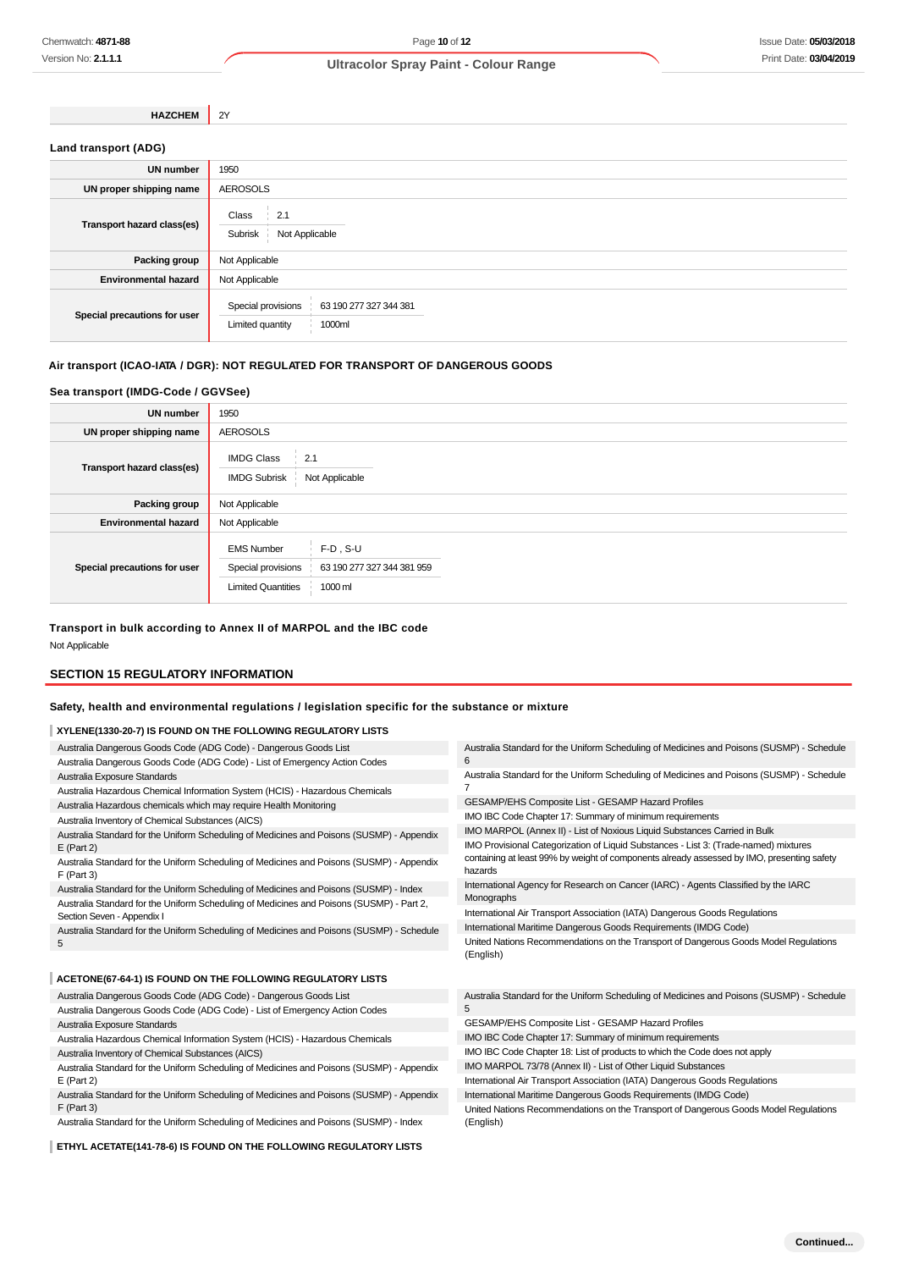| <b>HAZCHEM</b>             | <b>2Y</b>    |
|----------------------------|--------------|
| Land transport (ADG)       |              |
| <b>UN number</b>           | 1950         |
| UN proper shipping name    | AEROSOLS     |
| Transport hazard class(es) | Class<br>2.1 |

| $$ and $\sim$ . The set of $\sim$ . The set of $\sim$ | Not Applicable<br>Subrisk                                                  |  |  |
|-------------------------------------------------------|----------------------------------------------------------------------------|--|--|
| Packing group                                         | Not Applicable                                                             |  |  |
| <b>Environmental hazard</b>                           | Not Applicable                                                             |  |  |
| Special precautions for user                          | Special provisions<br>63 190 277 327 344 381<br>1000ml<br>Limited quantity |  |  |

# **Air transport (ICAO-IATA / DGR): NOT REGULATED FOR TRANSPORT OF DANGEROUS GOODS**

# **Sea transport (IMDG-Code / GGVSee)**

| <b>UN number</b>             | 1950                                                                 |                                                      |  |  |
|------------------------------|----------------------------------------------------------------------|------------------------------------------------------|--|--|
| UN proper shipping name      | <b>AEROSOLS</b>                                                      |                                                      |  |  |
| Transport hazard class(es)   | <b>IMDG Class</b><br>: 2.1<br><b>IMDG Subrisk</b>                    | Not Applicable                                       |  |  |
| Packing group                | Not Applicable                                                       |                                                      |  |  |
| <b>Environmental hazard</b>  | Not Applicable                                                       |                                                      |  |  |
| Special precautions for user | <b>EMS Number</b><br>Special provisions<br><b>Limited Quantities</b> | $F-D$ , S-U<br>63 190 277 327 344 381 959<br>1000 ml |  |  |

# **Transport in bulk according to Annex II of MARPOL and the IBC code**

Not Applicable

# **SECTION 15 REGULATORY INFORMATION**

# **Safety, health and environmental regulations / legislation specific for the substance or mixture**

# **XYLENE(1330-20-7) IS FOUND ON THE FOLLOWING REGULATORY LISTS**

| A TLENE(1330-20-7) IS FOUND ON THE FOLLOWING REGULATOR T LISTS                                                                                    |                                                                                                       |  |
|---------------------------------------------------------------------------------------------------------------------------------------------------|-------------------------------------------------------------------------------------------------------|--|
| Australia Dangerous Goods Code (ADG Code) - Dangerous Goods List<br>Australia Dangerous Goods Code (ADG Code) - List of Emergency Action Codes    | Australia Standard for the Uniform Scheduling of Medicines and Poisons (SUSMP) - Schedule<br>6        |  |
| Australia Exposure Standards                                                                                                                      | Australia Standard for the Uniform Scheduling of Medicines and Poisons (SUSMP) - Schedule             |  |
| Australia Hazardous Chemical Information System (HCIS) - Hazardous Chemicals<br>Australia Hazardous chemicals which may require Health Monitoring | GESAMP/EHS Composite List - GESAMP Hazard Profiles                                                    |  |
| Australia Inventory of Chemical Substances (AICS)                                                                                                 | IMO IBC Code Chapter 17: Summary of minimum requirements                                              |  |
| Australia Standard for the Uniform Scheduling of Medicines and Poisons (SUSMP) - Appendix                                                         | IMO MARPOL (Annex II) - List of Noxious Liquid Substances Carried in Bulk                             |  |
| $E$ (Part 2)                                                                                                                                      | IMO Provisional Categorization of Liquid Substances - List 3: (Trade-named) mixtures                  |  |
| Australia Standard for the Uniform Scheduling of Medicines and Poisons (SUSMP) - Appendix<br>$F$ (Part 3)                                         | containing at least 99% by weight of components already assessed by IMO, presenting safety<br>hazards |  |
| Australia Standard for the Uniform Scheduling of Medicines and Poisons (SUSMP) - Index                                                            | International Agency for Research on Cancer (IARC) - Agents Classified by the IARC                    |  |
| Australia Standard for the Uniform Scheduling of Medicines and Poisons (SUSMP) - Part 2,<br>Section Seven - Appendix I                            | Monographs<br>International Air Transport Association (IATA) Dangerous Goods Regulations              |  |
| Australia Standard for the Uniform Scheduling of Medicines and Poisons (SUSMP) - Schedule                                                         | International Maritime Dangerous Goods Requirements (IMDG Code)                                       |  |
| 5                                                                                                                                                 | United Nations Recommendations on the Transport of Dangerous Goods Model Regulations<br>(English)     |  |
| ACETONE(67-64-1) IS FOUND ON THE FOLLOWING REGULATORY LISTS                                                                                       |                                                                                                       |  |
| Australia Dangerous Goods Code (ADG Code) - Dangerous Goods List                                                                                  | Australia Standard for the Uniform Scheduling of Medicines and Poisons (SUSMP) - Schedule<br>5        |  |
| Australia Dangerous Goods Code (ADG Code) - List of Emergency Action Codes                                                                        |                                                                                                       |  |
| Australia Exposure Standards                                                                                                                      | GESAMP/EHS Composite List - GESAMP Hazard Profiles                                                    |  |
| Australia Hazardous Chemical Information System (HCIS) - Hazardous Chemicals                                                                      | IMO IBC Code Chapter 17: Summary of minimum requirements                                              |  |
| Australia Inventory of Chemical Substances (AICS)                                                                                                 | IMO IBC Code Chapter 18: List of products to which the Code does not apply                            |  |
| Australia Standard for the Uniform Scheduling of Medicines and Poisons (SUSMP) - Appendix                                                         | IMO MARPOL 73/78 (Annex II) - List of Other Liquid Substances                                         |  |
| $E$ (Part 2)                                                                                                                                      | International Air Transport Association (IATA) Dangerous Goods Regulations                            |  |
| Australia Standard for the Uniform Scheduling of Medicines and Poisons (SUSMP) - Appendix                                                         | International Maritime Dangerous Goods Requirements (IMDG Code)                                       |  |

F (Part 3) Australia Standard for the Uniform Scheduling of Medicines and Poisons (SUSMP) - Index

**ETHYL ACETATE(141-78-6) IS FOUND ON THE FOLLOWING REGULATORY LISTS**

United Nations Recommendations on the Transport of Dangerous Goods Model Regulations (English)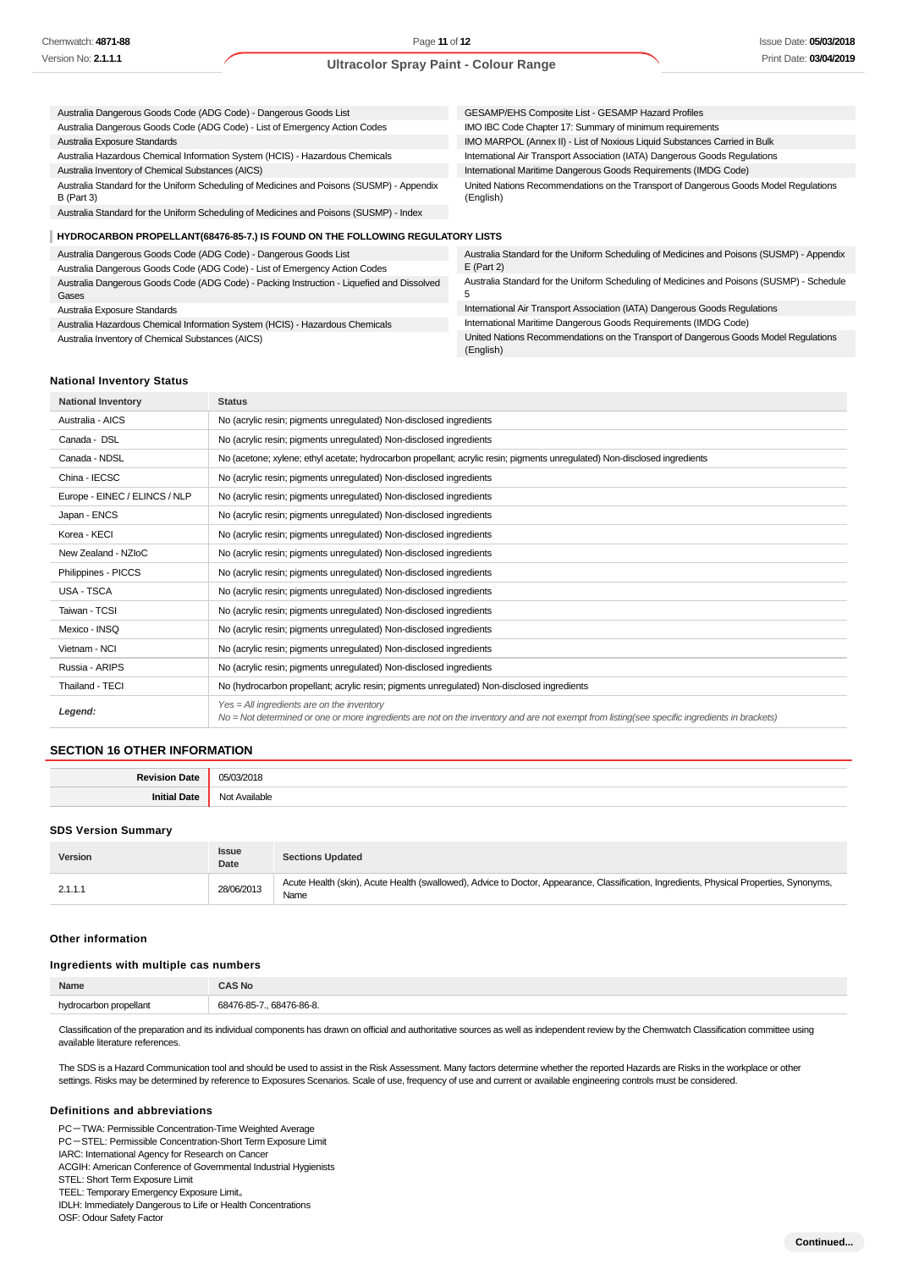Gases

#### **Ultracolor Spray Paint - Colour Range**

| Australia Dangerous Goods Code (ADG Code) - Dangerous Goods List                                          | GESAMP/EHS Composite List - GESAMP Hazard Profiles                                                |  |  |  |  |
|-----------------------------------------------------------------------------------------------------------|---------------------------------------------------------------------------------------------------|--|--|--|--|
| Australia Dangerous Goods Code (ADG Code) - List of Emergency Action Codes                                | IMO IBC Code Chapter 17: Summary of minimum requirements                                          |  |  |  |  |
| Australia Exposure Standards                                                                              | IMO MARPOL (Annex II) - List of Noxious Liquid Substances Carried in Bulk                         |  |  |  |  |
| Australia Hazardous Chemical Information System (HCIS) - Hazardous Chemicals                              | International Air Transport Association (IATA) Dangerous Goods Regulations                        |  |  |  |  |
| Australia Inventory of Chemical Substances (AICS)                                                         | International Maritime Dangerous Goods Requirements (IMDG Code)                                   |  |  |  |  |
| Australia Standard for the Uniform Scheduling of Medicines and Poisons (SUSMP) - Appendix<br>B (Part 3)   | United Nations Recommendations on the Transport of Dangerous Goods Model Regulations<br>(English) |  |  |  |  |
| Australia Standard for the Uniform Scheduling of Medicines and Poisons (SUSMP) - Index                    |                                                                                                   |  |  |  |  |
| HYDROCARBON PROPELLANT(68476-85-7.) IS FOUND ON THE FOLLOWING REGULATORY LISTS                            |                                                                                                   |  |  |  |  |
| Australia Dangerous Goods Code (ADG Code) - Dangerous Goods List                                          | Australia Standard for the Uniform Scheduling of Medicines and Poisons (SUSMP) - Appendix         |  |  |  |  |
| Australia Dangerous Goods Code (ADG Code) - List of Emergency Action Codes                                | $E$ (Part 2)                                                                                      |  |  |  |  |
| $\mathbf{A}$ , a constant $\mathbf{A}$ . It is a constant $\mathbf{A}$ . It is a constant of $\mathbf{A}$ | Augtralia Standard for the Uniform Schooluling of Modicines and Dejsons (SUSMD) Schoolule         |  |  |  |  |

Australia Dangerous Goods Code (ADG Code) - Packing Instruction - Liquefied and Dissolved Australia Exposure Standards Australia Hazardous Chemical Information System (HCIS) - Hazardous Chemicals Australia Inventory of Chemical Substances (AICS) ard for the Uniform Scheduling of Medicines and Poisons (SUSMP) - Schedule 5 International Air Transport Association (IATA) Dangerous Goods Regulations International Maritime Dangerous Goods Requirements (IMDG Code) United Nations Recommendations on the Transport of Dangerous Goods Model Regulations

(English)

#### **National Inventory Status**

| <b>National Inventory</b>     | <b>Status</b>                                                                                                                                                                                 |
|-------------------------------|-----------------------------------------------------------------------------------------------------------------------------------------------------------------------------------------------|
| Australia - AICS              | No (acrylic resin; pigments unregulated) Non-disclosed ingredients                                                                                                                            |
| Canada - DSL                  | No (acrylic resin; pigments unregulated) Non-disclosed ingredients                                                                                                                            |
| Canada - NDSL                 | No (acetone; xylene; ethyl acetate; hydrocarbon propellant; acrylic resin; pigments unregulated) Non-disclosed ingredients                                                                    |
| China - IECSC                 | No (acrylic resin; pigments unregulated) Non-disclosed ingredients                                                                                                                            |
| Europe - EINEC / ELINCS / NLP | No (acrylic resin; pigments unregulated) Non-disclosed ingredients                                                                                                                            |
| Japan - ENCS                  | No (acrylic resin; pigments unregulated) Non-disclosed ingredients                                                                                                                            |
| Korea - KECI                  | No (acrylic resin; pigments unregulated) Non-disclosed ingredients                                                                                                                            |
| New Zealand - NZIoC           | No (acrylic resin; pigments unregulated) Non-disclosed ingredients                                                                                                                            |
| Philippines - PICCS           | No (acrylic resin; pigments unregulated) Non-disclosed ingredients                                                                                                                            |
| USA - TSCA                    | No (acrylic resin; pigments unregulated) Non-disclosed ingredients                                                                                                                            |
| Taiwan - TCSI                 | No (acrylic resin; pigments unregulated) Non-disclosed ingredients                                                                                                                            |
| Mexico - INSQ                 | No (acrylic resin; pigments unregulated) Non-disclosed ingredients                                                                                                                            |
| Vietnam - NCI                 | No (acrylic resin; pigments unregulated) Non-disclosed ingredients                                                                                                                            |
| Russia - ARIPS                | No (acrylic resin; pigments unregulated) Non-disclosed ingredients                                                                                                                            |
| Thailand - TECI               | No (hydrocarbon propellant; acrylic resin; pigments unregulated) Non-disclosed ingredients                                                                                                    |
| Legend:                       | $Yes = All ingredients are on the inventory$<br>No = Not determined or one or more ingredients are not on the inventory and are not exempt from listing(see specific ingredients in brackets) |

#### **SECTION 16 OTHER INFORMATION**

| $\overline{\phantom{a}}$<br>. | .       |
|-------------------------------|---------|
|                               | 11<br>. |

#### **SDS Version Summary**

| Version | <b>Issue</b><br>Date | <b>Sections Updated</b>                                                                                                                          |
|---------|----------------------|--------------------------------------------------------------------------------------------------------------------------------------------------|
| 2.1.1.1 | 28/06/2013           | Acute Health (skin), Acute Health (swallowed), Advice to Doctor, Appearance, Classification, Ingredients, Physical Properties, Synonyms,<br>Name |

#### **Other information**

#### **Ingredients with multiple cas numbers**

| Name       | <b>AS No</b>                  |  |
|------------|-------------------------------|--|
| ellan<br>. | 76-86-8<br>6841<br><b>924</b> |  |
|            |                               |  |

Classification of the preparation and its individual components has drawn on official and authoritative sources as well as independent review by the Chemwatch Classification committee using available literature references.

The SDS is a Hazard Communication tool and should be used to assist in the Risk Assessment. Many factors determine whether the reported Hazards are Risks in the workplace or other settings. Risks may be determined by reference to Exposures Scenarios. Scale of use, frequency of use and current or available engineering controls must be considered.

#### **Definitions and abbreviations**

PC-TWA: Permissible Concentration-Time Weighted Average

PC-STEL: Permissible Concentration-Short Term Exposure Limit

IARC: International Agency for Research on Cancer ACGIH: American Conference of Governmental Industrial Hygienists

STEL: Short Term Exposure Limit

TEEL: Temporary Emergency Exposure Limit。

IDLH: Immediately Dangerous to Life or Health Concentrations

OSF: Odour Safety Factor